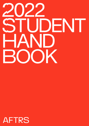# 2019 2022 STUDENT STUDENT HAND HAND BOOK BOOK

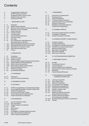## **Contents**

| 4<br>4<br>4<br>4<br>5                               |                                                                                 | Congratulations & Welcome!<br><b>AFTRS Charter of Conduct</b><br><b>Engagement With Course Content</b><br><b>Student Code of Conduct</b><br><b>Teaching at AFTRS</b>                                                                                                                                                                 |
|-----------------------------------------------------|---------------------------------------------------------------------------------|--------------------------------------------------------------------------------------------------------------------------------------------------------------------------------------------------------------------------------------------------------------------------------------------------------------------------------------|
| 5                                                   |                                                                                 | 1. ENROLMENT & FEES                                                                                                                                                                                                                                                                                                                  |
| 5<br>5<br>5<br>5<br>5<br>5<br>5<br>6<br>6<br>6<br>6 | 1.1<br>1.1.2<br>1.1.3<br>1.2<br>1.3<br>1.3.1<br>1.4<br>1.5<br>1.6<br>1.7<br>1.8 | Enrolment<br><b>MASB: Subject Selection</b><br>Bachelor of Arts Screen: Production-Electives<br>Maximum Time to Complete<br><b>Student Records</b><br>Change of Name<br>Communication<br><b>Criminal History Disclosure</b><br>Payment of Fees<br>Fee-Help<br>Re-Crediting Fee-Help Balances or<br><b>Refunding Upfront Payments</b> |
| 7<br>7<br>7<br>7<br>$\overline{7}$                  | 1.8.1<br>1.8.2<br>1.8.3<br>1.8.4<br>1.9                                         | Withdrawing Before Earliest Census Date<br>Withdrawing After Earliest Census Date<br>Application For Refund or Credit<br><b>International Student Fees</b><br>Privacy                                                                                                                                                                |
| 7                                                   |                                                                                 | 2. ORIENTATION                                                                                                                                                                                                                                                                                                                       |
| 7<br>8<br>8<br>8<br>8<br>8<br>8<br>9<br>9<br>9      | 2.1<br>2.2<br>2.2.1<br>2.3<br>2.3.1<br>2.3.2<br>2.3.3<br>2.4<br>2.5<br>2.6      | Orientation<br><b>Student Id Cards</b><br><b>Student Lockers</b><br>Personal Safety, Sexual Assault And Harassment<br><b>Student Rights And Responsibilities</b><br>What Is Sexual Harassment?<br>What Happens When I Tell Someone?<br>Safe Conversation Officers<br><b>AFTRS Counselling</b><br>Social Media Guidelines             |
| 10                                                  |                                                                                 | 3. ATTENDANCE                                                                                                                                                                                                                                                                                                                        |
| 10<br>10                                            | 3.1<br>3.2                                                                      | Attendance<br>Leave For Industry Experience                                                                                                                                                                                                                                                                                          |
| 10                                                  |                                                                                 | 4. EQUIPMENT ACCESS                                                                                                                                                                                                                                                                                                                  |
| 11                                                  |                                                                                 | 5. COPYRIGHT                                                                                                                                                                                                                                                                                                                         |
| 11<br>11<br>11                                      | 5.1<br>5.2<br>5.3<br>12 5.4<br>12 5.5<br>12 5.6                                 | AFTRS Copyright Policy for Student Project Work<br>Using Copyright Material In Student Project Work<br><b>Student Film Distribution</b><br>Use of the AFTRS Logo, Credits<br>Further Development of Student Work<br><b>Student Showreels and Websites</b>                                                                            |
| 12                                                  |                                                                                 | 6. PROGRESSION                                                                                                                                                                                                                                                                                                                       |
| 12<br>13                                            | 6.1<br>6.1.2<br>13 6.1.3<br>13 6.2<br>13 6.3<br>13 6.4<br>14 6.5<br>14 6.6      | <b>Course Progression Rules</b><br>Non-Submission<br>Failing A Subject: 2nd Attempt<br>At Risk<br>Show Cause<br>Exclusion<br>Investigation of Appeals Against Exclusion<br>Early Exit & Alternate Qualification                                                                                                                      |
|                                                     | 14 6.7                                                                          | Offer of Alternate Qualification                                                                                                                                                                                                                                                                                                     |

| 14                                      |                                                                                                                           | 7. ASSESSMENT                                                                                                                                                                                                                                                                                                                                                                                                                                         |
|-----------------------------------------|---------------------------------------------------------------------------------------------------------------------------|-------------------------------------------------------------------------------------------------------------------------------------------------------------------------------------------------------------------------------------------------------------------------------------------------------------------------------------------------------------------------------------------------------------------------------------------------------|
| 14                                      | 7.1<br>15 7.2<br>16 7.3<br>16 7.3.1<br>16 7.4<br>16 7.5<br>16 7.6                                                         | Submission of Assessments<br><b>Grading Scheme</b><br><b>Extension Requests</b><br><b>Extension Request Guidance</b><br>Late Submission and Late Penalties<br>Failing an Assessment<br>Weighted Average Mark (Wam) &<br>Grade Point Average (Gpa)                                                                                                                                                                                                     |
| 17                                      |                                                                                                                           | 8. ACADEMIC APPEALS                                                                                                                                                                                                                                                                                                                                                                                                                                   |
| 17<br>17<br>17                          | 8.1<br>8.2<br>8.3                                                                                                         | Grounds for Appeal and Documentation<br><b>Investigation of Appeals</b><br>Academic Appeals Committee                                                                                                                                                                                                                                                                                                                                                 |
| 17                                      |                                                                                                                           | 9. ACADEMIC INTEGRITY & MISCONDUCT                                                                                                                                                                                                                                                                                                                                                                                                                    |
| 18<br>19                                | 17 9.1<br>9.2<br>18 9.2.1<br>18 9.2.2<br>19 9.3<br>19 9.3.1<br>19 9.3.2<br>9.3.2                                          | Academic Integrity<br>Academic Misconduct<br>Investigation of Academic Misconduct<br>Penalties for Academic Misconduct<br><b>Behavioural Misconduct</b><br>Misconduct Investigation<br><b>Misconduct Appeals</b><br>Misconduct Outcomes                                                                                                                                                                                                               |
| 20                                      |                                                                                                                           | 10. TUITION ASSURANCE EXEMPTION                                                                                                                                                                                                                                                                                                                                                                                                                       |
| 20                                      |                                                                                                                           | <b>11. ENROLMENT STATUS</b>                                                                                                                                                                                                                                                                                                                                                                                                                           |
| 21<br>21<br>21                          | 20 11.1<br>20 11.2<br>20 11.3<br>20 11.4<br>11.5<br>11.6<br>11.7                                                          | Enrolled<br><b>Conditional Enrolment</b><br>Leave of Absence<br><b>Faculty Initiated Leave of Absence</b><br>Returning From Leave of Absence Student<br>Withdrawn<br><b>Faculty Initiated Withdrawal</b>                                                                                                                                                                                                                                              |
| 21                                      |                                                                                                                           | 12. REASONABLE ADJUSTMENT &<br><b>LEARNING ACCESS PLAN</b>                                                                                                                                                                                                                                                                                                                                                                                            |
| 21<br>21<br>21<br>22 <sub>2</sub><br>23 | 12.1<br>12.2<br>12.3<br>12.3.1<br>22 12.3.2<br>22 12.4<br>22 12.5<br>12.6<br>23 12.7<br>23 12.7.1<br>23 12.7.2<br>23 12.8 | Learning Access Plan<br>Carer Support Plan<br><b>Special Consideration</b><br><b>Circumstances For Eligibility</b><br>Possible Study Adjustments<br><b>Special Financial Assistance</b><br>Variation to Study Load<br><b>Fitness to Study</b><br>Medical Certificates And Other<br><b>Supporting Documentation</b><br><b>Students Affected by Medical</b><br>Circumstances or Hardship<br><b>Students Affected by Other Circumstances</b><br>Transfer |
|                                         |                                                                                                                           |                                                                                                                                                                                                                                                                                                                                                                                                                                                       |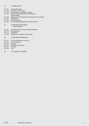## [24 13. COMPLAINTS](#page-24-0)

- 
- 24 [13.1 General Principles](#page-24-0)
- 24 [13.2 Exclusions to This Policy](#page-24-0)<br>24 13.3 Procedures for Lodging
- 24 [13.3 Procedures for Lodging A Complaint](#page-24-0)<br>24 13.4 Stage 1: Informal Procedure For Reso Stage 1: Informal Procedure For Resolution
- [of a Complaint](#page-24-0)
- [24 13.5 Stage 2: Formal Procedure For Resolution of a Complaint](#page-24-0)
- Documents
- 25 [13.8 Record Keeping](#page-25-0)
- 25 [13.9 Communication Regarding These Procedures](#page-25-0)
- [25 14.](#page-25-0) EXITING YOUR COURSE [& GRADUATION](#page-25-0)
- 25 [14.1. Graduand Period & Access to Aftrs Resources](#page-25-0)
- **Exit Clearance**
- 25 [14.3 Graduation](#page-25-0)
- 26 [14.4 Testamurs and Academic Transcripts](#page-26-0)

### 26 15. BUILDING [INFORMATION](#page-26-0)

- 26 [15.1 Hours of Operation and Access](#page-26-0)<br>26 15.2 On-Site Security
- 26 [15.2 On-Site Security](#page-26-0)<br>26 15.3 Smoking
- 26 [15.3 Smoking](#page-26-0)<br>26 15.4 Emergen
- 26 [15.4 Emergency Evacuation](#page-26-0)<br>26 15.5 First Aid
- First Aid<br>Lifts
- $26$  15.6
- [26 16.](#page-26-0) GLOSSARY OF TERMS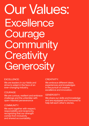## Our Values: **Excellence Courage Community Creativity Generosity**

## EXCELLENCE:

We are leaders in our fields and strive to adapt in the face of an ever-changing Industry.

## COURAGE:

We are curious, resilient and embrace challenge and the unfamiliar with open-hearted perseverance

## COMMUNITY:

We work together with respect, responsibility and reciprocity, recognizing that our strength comes from inclusivity and shared accountability.

## CREATIVITY:

We embrace different ideas. experiences and knowledges in the pursuit of creative excellence and innovation.

## GENEROSITY:

We share our skills and knowledge and are equipped and honoured to help tell each other's stories.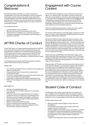## <span id="page-4-0"></span>Congratulations & Welcome!

Being offered a place at AFTRS is a massive achievement. Congratulations! You have been selected by a panel of academic and industry experts, based on the quality of your application, competing against many other talented storytellers from across Australia and overseas to claim your place here. If you have been offered a place, you undoubtedly deserve it, so take a moment to congratulate yourself.

This handbook sets out:

- ɀ Our expectations of you as a learner
- ɀ What you can expect from the School and our staff
- ɀ Supports that are available to you, should you need them
- ɀ The policies, procedures and guidelines that will shape your experience at AFTRS

## AFTRS Charter of Conduct

The AFTRS Charter of Conduct guides everything we do at AFTRS, from the decisions we make to the conversations we have and the behaviours we display. It is a commitment that our school is a safe creative space to work in and we ask that all AFTRS staff and students sign up to it. It extends to our sets, locations, our classrooms and includes all interactions, including in person, phone calls, texts and online.

It is a living document that will evolve and progress to meet the needs of the School, its staff, and students.

## WE BELIEVE:

- ɀ Our creativity is strengthened by contribution from people of all walks of Australian life.
- ɀ Everyone should have the opportunity to develop and contribute their skills.
- ɀ It is all of our responsibilities to ensure these opportunities exist, and to remove obstacles to participation.
- ɀ Leadership in creative practice requires ongoing learning.
- ɀ Without the knowledge that we are safe, we cannot be bold or daring.

## WE COMMIT TO:

- ɀ Sharing our knowledge generously.
- ɀ Ensuring a diversity of content and ideas in our teaching, work and films.
- ɀ Fostering a culture that supports the pursuit of creative excellence free from any physical or psychological harm.
- ɀ Working in ways that support participation, including to:
- ɀ Communicate clear processes for addressing problems.
- ɀ Appoint support officers.
- ɀ Maintain confidentiality where required.
- ɀ Ensure consequences for breaches of the Charter.
- ɀ Maintain a zero-tolerance approach to behaviour that is discriminatory, bullying or harassment.

## Engagement with Course **Content**

The AFTRS Charter pledges to ensure a diversity of content and ideas in our teaching, work, and creative outcomes, while at the same time ensuring that our school is a safe creative space to work in. Learning is about developing new skills and knowledge by being challenged at an appropriate level. During your time at AFTRS you will be asked to engage with material and activities that are challenging. All elements of your course are chosen because they have a lesson your lecturer wants to draw out.

A key part of learning and growing is to notice your own reactions and to use these to enhance your own self-awareness.

Your lecturers will endeavour to provide trigger warnings for certain topics. For audio-visual material we will follow guidelines set in the Australian Classification framework.

Sensitivity to different topics varies from person to person. Only you can know when certain material is going to cross the line from being challenging to being unsafe for you – and we will support your decision. Be aware that monitoring the impact of course content is the joint responsibility of you and your course lecturers. If you need to leave during class or choose not to attend that class because you know the material you will be exposed to will cause distress, please let your lecturer know and they will help negotiate an alternative way for you to approach the topic.

Topics may arise unexpectedly in class discussion. Again, if you need to leave the class, please let your lecturer know. The Student Engagement Managers and AFTRS Counsellor can support you to find strategies to deal with challenging topics or to remove yourself safely from the discussion.

Where possible AFTRS will record lectures and provide records of other learning materials. If you have been unable to attend classes in real time, you must engage with these materials in your own time. Depending on the room you're in, you may be recorded as part of the lecture capture process (both visual and audio, taken in the room immediately prior to the lecture and throughout). Please be mindful that the lecture recording is in progress and that your conversation may be picked up. Please also exercise courtesy when asking questions or taking part in discussions throughout a recorded session, both out of respect for your peers in the space at the time, and for anyone who might be catching up on the recording later.

## Student Code of Conduct

AFTRS expects the conduct of all students to be marked by an open-minded pursuit of excellence, driven by a genuine desire to learn and improve, committed to inclusion and collaboration and guided by an over-arching respect for the ideas and rights of others.

AFTRS expects that you will:

- ɀ Behave honestly and with integrity, and act with care and diligence.
- ɀ Treat everyone with respect and courtesy, embracing equality, diversity, and inclusion.
- ɀ Actively engage in learning (on campus and online) in a positive and respectful manner by attending all scheduled sessions, completing coursework in good time (including assessments) and maintaining communication between yourself and the School.
- ɀ Respect the collaborative nature of the learning environment.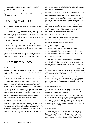- <span id="page-5-0"></span>ɀ Acknowledge the ideas, materials, concepts, processes and practices of others you have used, or developed, in your own work.
- ɀ Comply with all applicable policies, rules and procedures.

If you are found to be in breach of the Code of Conduct, misconduct processes will apply.

## Teaching at AFTRS

AFTRS believes that a student-centred and experiential approach to education best enables learning.

AFTRS courses are career-focused and industry relevant. You will gain an understanding of the key concepts of storytelling for screen and broadcast through the creative application of the latest industry approaches. You will engage in structured, authentic experiences that encourage you to be a creative, innovative practitioner. You will be guided, encouraged, and mentored by lecturers who are also experienced industry practitioners.

Teaching at AFTRS is guided by the principle that reflective practice is the key to developing both professional skills and an individual creative voice. You will learn through a cycle of experience, observation, conceptualisation, and experimentation supported by ongoing reflection.

Most of all, we encourage you to make the most of your time at AFTRS. Make connections (these will last you a lifetime), seek support when you need it and don't be afraid to ask questions!

## 1. Enrolment & Fees

## $\bigcirc$  1.1 ENROLMENT

Please ensure that you accept your offer of a place and complete enrolment by the due date outlined in your letter of offer to ensure your place in the course.

If you are under 18, you must have a parent or guardian complete, sign, and return the ⊼ [Parent/Guardian](https://www.aftrs.edu.au/students/current-students/student-policies-and-forms/) Consent form to enrol.

You are a student at AFTRS from the time you enrol until you complete your course requirements and exit the School on your course's exit date (see Section 14); go on a leave of absence; withdraw from your course; or are excluded from a course of study.

You can enrol in your course online once you have accepted your offer of a place in the course. You must pay the fees and enrol by the specified dates, otherwise you will lose your place at AFTRS.

You will be re-enrolled for each semester on the successful completion of course work from the previous semester.

## $\bigcirc$  1.1.2 MASB: SUBJECT SELECTION

If you are enrolled in the Master of Arts Screen: Business, you can select your study load at the beginning of your first semester, and you may vary it at the end of each semester. Please visit the AFTRS website to find which subjects are available each semester. The website also details the simplest path to completing your degree. Examples of standard study plans and standard study loads are also available on the website.

For the MASB program, the approved study patterns are two subjects per semester for part-time students, and four subjects per semester for full-time students.

## $\bigcirc$  1.1.3 BACHELOR OF ARTS: SCREEN PRODUCTION-ELECTIVES

If you are enrolled in the Bachelor of Arts: Screen Production, you will be provided with the opportunity to enrol in three elective subjects in year 3. There are minimum and maximum capacity numbers for each elective, based on available resources and the best fit of capacity numbers across all elective subjects.

AFTRS reserves the right to re-assign a student into a different elective and students will be chosen based on their attendance throughout the course (i.e., students with the lowest attendance will be re-assigned first). Absences due to approved special consideration or medical certificates will be exempt.

## $\bigcirc$  1.2 MAXIMUM TIME TO COMPLETE

You must complete your program of study no later than the published maximum time to complete that program.

For courses starting in 2022 they are as follows:

- ɀ Bachelor: 6 years
- ɀ Master of Arts Screen Full-Time: 4 years
- ɀ Master of Arts Screen: Business Full-Time: 2 years
- ɀ Master of Arts Screen: Business Part-Time: 4 years
- ɀ Graduate Diploma Radio and Podcasting Full-Time: 2 years
- ɀ Graduate Diploma Radio and Podcasting Part-Time: 4 years

## $\bigcirc$  1.3 STUDENT RECORDS

Your student record is kept within the ⊼ Paradigm Portal and you can access your subject marks and grades via the portal at the end of each semester. You can request copies of any documents in your student record from the Student Centre. Your student record is a confidential record.

Your personal information is available only to relevant AFTRS' staff and will not be distributed other than per AFTRS' Privacy Policy (see below) and any Student Collection Statement) without your consent, unless required or authorised by law.

You can update your personal and contact details via the ↗ [Paradigm](https://aftrs.edu.net.au/php/index.php) Portal. It is your responsibility and a condition of your enrolment to ensure they are correct and remain up to date. Once you have graduated you can update your details by contacting the Student Centre.

## $\bigcirc$  1.3.1 CHANGE OF NAME

Your student record and all official certificate documentation, including your testamur and your academic transcript, are in your legal name provided by you at enrolment.

All official AFTRS documentation will be in your legal name. If you wish to change your name, you will need to provide certified proof of your legal name change to the Student Centre Unfortunately, we are unable to make changes without this. Once you graduate, any replacement official document will be in your legal name at the time of Graduation regardless of whether you have legally changed your name since leaving AFTRS.

## $O$  1.4 COMMUNICATION

You will be issued with an AFTRS student email account. While you are enrolled in your course, all primary communication will be sent to that account. You can find instructions for setting up your AFTRS email on your personal device on the ⊼ [Student](https://libguides.aftrs.edu.au/StudentHub) Hub. Please check this email on an ongoing basis and respond to any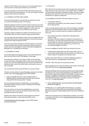<span id="page-6-0"></span>request for information as soon as you can to ensure that lines of communication are kept open between you and AFTRS.

If you are requested to meet with AFTRS staff, please ensure you attend at the time mutually agreed to. You are encouraged to bring a support person with you if required.

## $\bigcirc$  1.5 CRIMINAL HISTORY DISCLOSURE

All commencing students must disclose any previous criminal convictions (excluding any spent convictions).

Disclosing previous criminal convictions does not prevent you from studying at AFTRS. This information is used to assist in the School's ongoing Work Health and Safety obligations to other staff and students. Depending on your circumstances, you may be

required to agree to additional conditions of enrolment set up in consultation with you and any relevant support professionals.

You must also notify the Student Centre if you are charged with any indictable offence with a maximum penalty of more than two years imprisonment while enrolled at AFTRS.

If you are unsure about whether you need to disclose a conviction or have questions about how this information will be used by the School, you are encouraged to contact the Student Engagement Managers for a confidential conversation.

## $\bigcirc$  1.6 PAYMENT OF FEES

Course fees apply to all award courses. The current schedule of fees can be found on the AFTRS website:  $\pi$  Fees page.

The tuition fees outlined in your letter of offer are the indicative course tuition fees, expressed as both a total course cost and per annum cost. They are reviewed each year and you are liable for the additional tuition costs if the tuition fees rise during the course of your enrolment.

You must pay the full fee, set by AFTRS, for a course of study.

The fees must be paid by the specified date as advised in the letter of offer and on the  $\pi$  Fees [page](https://www.aftrs.edu.au/students/future-students/fees/) of the AFTRS website:

- ɀ Fees are payable upfront on a per semester basis; or
- ɀ Eligible students may defer payment of the full course fee through FEE–HELP (see section 1.7 below)

If you are experiencing financial difficulties, you may apply to the Student Centre to pay your fees in instalments (if choosing to pay fees upfront).

If you do not pay your fees by the specified date, you may be excluded from your course by the Chief Financial Officer who oversees finance for the school.

Specific rules relate to enrolment and the payment of fees for international students – refer to the Fees Policy on the

↗ [Student](https://www.aftrs.edu.au/students/current-students/student-policies-and-forms/) Policies and Forms page on the AFTRS website for more information

## $O$  1.7 FEE-HELP

FEE–HELP is the Australian Government's student loan scheme that helps students to pay course fees, up to a lifetime limit, for eligible courses at approved higher education providers. The loan is repaid through the tax system once your income reaches the minimum threshold for compulsory repayment.

You are eligible for the FEE–HELP loan scheme if you are:

- ɀ an Australian citizen; or
- ɀ a permanent humanitarian visa holder resident in Australia for the relevant time.

If you are a New Zealand citizen and a Special Category Visa (SCV) holder and meet the requisite criteria, you may be eligible for FEE-HELP. You need to meet the long-term residency requirements which are:

- ɀ first entered Australia as a dependent child aged under 18 years of age.
- ɀ have been ordinarily resident in Australia for the previous 10 years (that is, you have been physically present in Australia for at least eight out of the past 10 years) and 18 months out of the last two years at the time of application for the loan; and
- ɀ are otherwise eligible for the loan.

You are not eligible for the FEE–HELP loan scheme if you are:

- ɀ a New Zealand citizen (other than NZ citizens with a SCV); or
- ɀ a permanent resident (other than permanent humanitarian visa holder resident in Australia for the relevant time).

In 2022, a loan fee of 20% (or as varied by legislation) applies to FEE–HELP loans for undergraduate courses of study.

The FEE– HELP limit does not include the loan fee.

This is a guide only. For more information on all matters concerning FEE–HELP refer to the ⊼ Study Assist [website](https://www.studyassist.gov.au/).

*Disclaimer: AFTRS has made every attempt to ensure the information provided here about FEE–HELP is as accurate as possible as of January 2022. However, this information may change. To the extent allowed by law, AFTRS gives no guarantee and accepts no responsibility for the information's accuracy, reliability, currency or completeness. Individuals are responsible for evaluating the information provided for their own purposes, and for confirming the currency of the FEE–HELP information on this page by referring to the Australian Government's [↗ Study Assist website.](https://www.studyassist.gov.au/help-loans/fee-help)*

## $\bigcirc$  1.8 RE-CREDITING FEE–HELP BALANCES OR REFUNDING UPFRONT PAYMENTS

AFTRS policy on re-crediting FEE–HELP balances, or upfront payments is in accordance with the requirements of the Higher Education Support Act 2003 (HESA) and the FEE–HELP Guidelines 2017.

Particular circumstances are outlined below; however, you should consult the Fees Policy on the ⊼ [Student](https://www.aftrs.edu.au/students/current-students/student-policies-and-forms/) Policies and Forms page on AFTRS website.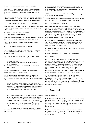## <span id="page-7-0"></span> $\bigcirc$  1.8.1 WITHDRAWING BEFORE EARLIEST CENSUS DATE

If you have paid your fees upfront and you withdraw before the earliest subject census date in each semester, you will receive a refund of the full amount of the tuition fee you have paid for that semester.

If you have obtained FEE-HELP and you withdraw before the earliest subject census date in each semester, your FEE-HELP debt will be reduced by the full amount of the tuition fee for that semester.

## $\bigcirc$  1.8.2 WITHDRAWING AFTER EARLIEST CENSUS DATE

If you withdraw from a course after the earliest subject census date in each semester, you can apply, in certain circumstances, to have some or all of:

- ɀ your FEE–HELP balance re-credited; or
- ɀ your upfront payment refunded.

If you withdraw after a subject's census date but have successfully completed the subject, you cannot be re-credited with your

FEE– HELP amount for that subject or receive a refund of any upfront fees.

## $\bigcirc$  1.8.3 APPLICATION FOR REFUND OR CREDIT

You must apply to AFTRS to have your FEE–HELP re-credited or upfront fee refunded, in writing within 12 months of your withdrawal date.

You may only apply for a re-credit for a FEE–HELP balance or a refund of fees in special circumstances that are:

- ɀ beyond your control; or
- ɀ did not make their full impact on you until on, or after, the census date; or
- ɀ made it impractical for you to complete the requirements of the semester.

These circumstances may include medical, family/personal, employment or could be course related.

The following provides guidance for medical condition and employment circumstances (refer to Section 12.7 Medical Certificates and Other Supporting Documentation for more detailed information):

- ɀ You must provide documentary evidence supporting your application that may include clinical diagnoses and treatments relating to the timeframe and special circumstances outlined in the application. A personal statement (even a statutory declaration or affidavit sworn on oath or affirmed) is NOT medical evidence.
- ɀ For work related circumstances you must show that relocating for work purposes (for example, interstate, a remote location or overseas), or having to undertake or perform duties that is beyond your normal role such that it would be "unusual, uncommon or abnormal"; and/or undertaking mandatory higher duties or extended hours, i.e., where one's job would be in jeopardy had one refused to take on these added functions.

AFTRS will consider the application within 28 days of its receipt and will let you know of its decision and the reasons for making that decision.

If you are not satisfied with the decision you may appeal to AFTRS for a review by the CEO of the decision stating the reasons for a re-consideration. You must do so within 28 days from the day you received the notice of the decision.

AFTRS will inform you of its decision within 45 days of receiving your application for reconsideration.

You may make an application to the Administrative Appeals Tribunal (AAT) for a review of AFTRS' decision to refuse to re-credit.

## $\bigcirc$  1.8.4 INTERNATIONAL STUDENT FEES

If you are an international student and you withdraw from the course before or on the census date, you will receive a refund for fees paid less an administrative fee as specified in the International Students Fees Schedule on the  $\overline{2}$  Fees page of AFTRS [website](https://www.aftrs.edu.au/students/future-students/fees/). The administrative fee will not be applied if you are unable to commence study on the grounds that the course is no longer being offered, that you are unable to be obtain a student visa, or that you have experienced significant illness or misadventure.

In the event of significant illness or a misadventure that prevents you from continuing to study, you may be granted a full or partial refund of fees on application. No refunds will be available in the event your student visa is cancelled.

For more information on re-credits and refunds, you should consult the Fees Policy on the

↗ [Student](https://www.aftrs.edu.au/students/current-students/student-policies-and-forms/) Policies and Forms page on the AFTRS website.

## $O$  1.9 PRIVACY

AFTRS may collect, use, disclose and hold your personal information to receive and process your application and enrolment, to teach and communicate with you, for course monitoring, evaluation and surveys, for student support, for record- keeping and reporting, and for certain other purposes including enabling you to be placed on AFTRS' electoral rolls. Your personal information may include your name, postal and email addresses, telephone numbers, date of birth, education and academic records, production credits, work experience and health information.

AFTRS respects your privacy and deals with your personal information according to the Privacy Act 1988 and AFTRS Privacy Policy. Complaints about privacy may be sent to AFTRS' Privacy Officer at **7** [privacyofficer@aftrs.edu.au](http://privacyofficer@aftrs.edu.au). You may also complain to the Australian Information Commissioner. However, the Information Commissioner will commonly not investigate a complaint if you have not first raised it with AFTRS.

## 2. Orientation

## $O$  2.1 ORIENTATION

In 2022, Orientation (O-Week) will take place in the week beginning Monday February 28 2022. Dates vary by course. Participation in Orientation is compulsory as it introduces you to your course, your learning cohort and to the School. If you have studied at AFTRS previously you will still need to attend Orientation for your new course of study.

O-Week is an opportunity to meet your peers and begin to form friendships that will last beyond AFTRS and into your careers, as well as get a better understanding of the requirements of your course and AFTRS.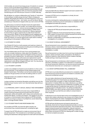<span id="page-8-0"></span>Unfortunately, we cannot have large groups of students on campus due to current social distancing guidelines, so we have built a schedule of online and on campus sessions and activities that will allow you to meet and interact with your lecturers and peers while introducing you to AFTRS and your course in a COVID-safe way.

We will deliver on-campus collaborative and "hands on" inductions in the building in smaller groups during O-Week, bringing you together with people who will be in your learning group. If you can't be in the building for those – don't panic, you are not alone. We will schedule your inductions to happen when you next come to AFTRS.

You will receive an email from Student Centre the week before O-Week matching you with a buddy. Your buddy will be someone from your learning group – and you are encouraged to touch base and have a coffee (virtually or in person) before O-Week starts. You will receive more matches via email as O-Week progresses to ensure that you get an opportunity to make those important new connections. Whilst it may feel slightly forced, engaging with colleagues online and in the virtual world will be a key skill when you enter the Industry, so use this opportunity to get used to meeting and getting to know people in different ways.

## $\bigcirc$  2.2 STUDENT ID CARDS

Your Student ID Card is a multi-purpose card used as a means of identification for AFTRS purposes including secure building access, printing, and borrowing from the Library.

You must always wear your ID card. If you cannot present your card, you can get a temporary visitor pass from Reception. If you have lost your card, please report it to Student Centre as soon as possible to receive a replacement. You will receive a Student Card during Orientation and you will receive one replacement card (if needed) free of charge during the duration of your course. Further replacement cards will be charged at \$10 per card. You may also be charged for a damaged Student ID card.

## $\bigcirc$  2.2.1 STUDENT LOCKERS

Lockers are available to all award course students on a first-come, first-served basis. To be assigned a locker please speak to the Student Centre team. The lockers can be found outside the large studios on the ground floor and near the editing suites on Level 1.

Separate lockers are available for Masters students in the Masters' area.

Lockers and keys are issued by Reception and will be yours for the duration of your course. Lost or non-returned locker keys will incur a fee of \$50.

## $\bigcirc$  2.3 PERSONAL SAFETY, SEXUAL ASSAULT AND HARASSMENT

All members of the AFTRS community have a responsibility to create a working and learning environment free from sexual harassment, where all students, staff, visitors and contractors are treated with dignity, courtesy and respect. This applies to any form of contact or communication that is relevant to AFTRS activities, whether occurring on campus or by telephone, social networking sites, or through another means.

## $O$  2.3.1 STUDENT RIGHTS AND RESPONSIBILITIES

As a student at AFTRS, you have the right to study in an environment free of sexual harassment, including the right:

To expect that AFTRS will work to create an environment free of sexual harassment. This includes but is not limited to providing training and awareness raising programs for both staff and students To be treated with compassion and dignity if you do experience sexual harassment

To be provided with any relevant support services to assist in the aftermath of sexual harassment

To expect AFTRS to act on complaints in a timely, fair and appropriate manner

To not be victimised for making disclosures or complaints of sexual harassment, and that any acts of victimisation or retaliation will be investigated and dealt with properly.

As a student at AFTRS, you also have a responsibility to:

- ɀ Follow the AFTRS sexual harassment policy and code of conduct
- ɀ Report incidences of sexual harassment that you witness
- ɀ Offer support to anyone who is being harassed and advise them on where to seek help and support
- ɀ Maintain confidentiality of information provided during the investigation of a complaint.

## $\bigcirc$  2.3.2 WHAT IS SEXUAL HARASSMENT?

Sexual harassment is any unwanted or unwelcome sexual behaviour where a reasonable person would have anticipated the possibility that the person harassed would feel offended, humiliated, intimidated, or unsafe.

Sexual harassment can take many forms and may include physical contact, verbal comments, jokes, propositions, the display of offensive material or other behaviour which creates a sexually hostile working or learning environment.

Sexual harassment is not behaviour which is based on mutual attraction, friendship or respect. If an interaction is consensual, it is not sexual harassment. Behaviour can become sexual harassment if the interaction becomes non-consensual or unwelcomed.

## $\bigcirc$  2.3.3 WHAT HAPPENS WHEN I TELL SOMEONE?

AFTRS aims to provide effective procedures for complaints, where both disclosures and formal reports are treated in a sensitive, fair, timely and confidential manner.

You can make a disclosure of sexual harassment via the [Confidential online Form Submission], by speaking with Student Centre, the AFTRS counsellor, or Safe Conversation Officers (see section 2.4 below). When you make a disclosure, you will be offered support including free and confidential counselling, access to appropriate Special Consideration [see section 12.3], and the ongoing support of Student Centre. You will be provided with a Student Safety card, which has key contact phone numbers that you can use when you feel that your safety is compromised or when required.

A disclosure is not a formal report and is not investigated as one. A person who makes a disclosure may choose not to make a formal report. Formal reports are made, investigated and determined following the Complaints process outlined in Section 13.

AFTRS will treat all disclosures and reports seriously and sensitively. Some forms of sexual harassment are also a criminal offence and should be reported to the police. This includes sexual assault, physical assault and molestation, indecent exposure, stalking and obscene communications. Referring a matter to the police does not prevent AFTRS from dealing with a matter through an internal complaint procedure.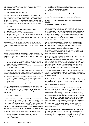<span id="page-9-0"></span>Collection and storage of information about individual disclosures and reports of sexual assault and sexual harassment is confidentially maintained.

## $O$  2.4 SAFE CONVERSATION OFFICERS

The Safe Conversation Officer (SCO) network provides points of contact to all students so you can feel safe to disclose any issues that arise for you during your time with us or if you need someone to have a conversation with. The Safe Conversation Officer team are fully trained to support you and provide another layer of support across AFTRS and compliments the work of the Student Centre.

## SCOs provide:

- ɀ Confidential, non-judgmental listening and support.
- ɀ Information and referrals.
- ɀ An opportunity to chat with staff who are trained.
- ɀ Advocacy on your behalf if required. For example, they can act as a first responder to complaints.
- ɀ Information to Student Centre on developing issues if you give permission to disclose this.

SCOs are available during business hours, normally Monday to Friday 9am–5pm. If you are a part-time student or online you can access them by calling, contacting them online or by email. You can find the list of current SCOs  $\overline{z}$  here.

## PRODUCTION PERIODS

SCOs will be available when you are out on location, however this will only be during school core hours. You can discuss an issue with the SCOs over the phone or call in to see them once you are back at the School within school core hours.

- ɀ If it is an emergency or you need support, follow the normal procedures in terms of escalating the issue. Phone numbers are on call sheets, so please use them.
- ɀ The Head of Production is your go-to person if you have serious issues or incidents on location.

SCOs are committed to maintaining your privacy and confidentiality. They will ask you if they can disclose your information but there may be instances where they need to disclose information as follows:

- ɀ The incident is misconduct under the Student Code of Conduct and may need to be dealt with under Misconduct guidelines.
- ɀ The incident is serious and AFTRS may make a decision on further action.
- ɀ The incident may cause harm to you or other students.

The SCO will ask your permission to disclose the information you give them, and you can request to remain anonymous. In that instance they will discuss this with the Director, People & Culture who will act. All material will be dealt with sensitively and confidentially.

## $O$  2.5 AFTRS COUNSELLING

Free and confidential counselling is available to you to help with managing any personal issues that could affect your studies. If you are experiencing difficulties that are impacting on your ability to take part in the course, AFTRS provides this service free of charge for all students. You can self-refer to see the AFTRS Student Counsellor, and you can easily book sessions online. The Counsellor may refer you to specialist services, with your permission, where appropriate.

Counsellors can help you with a wide range of issues including:

- ɀ Assisting with personal issues affecting your studies
- ɀ Adjusting to change (new culture, higher education, new city, learning expectations)
- ɀ Managing stress, anxiety and depression
- ɀ Learning about motivation, time management and exam stress
- ɀ Support following a crisis or trauma
- ɀ Managing a personal or family crisis

You can book an appointment with our in-house Counsellor, here:

### ↗ https://[aftrs.libcal.com/appointments/counselling/counsellor](https://aftrs.libcal.com/appointments/counselling/counsellor)

↗ [https://www.aftrs.edu.au/students/current-students/student](https://www.aftrs.edu.au/students/current-students/student-%20support/)[support/](https://www.aftrs.edu.au/students/current-students/student-%20support/)

## $\bigcirc$  2.6 SOCIAL MEDIA GUIDELINES

Social media is a key part of our social and professional lives. It enhances the student experience, but it should be used with care and consideration for others. You are expected to treat others with respect and courtesy, upholding the same standard of behaviour online as you would uphold on campus, regardless of whether the activity takes place "officially" on an electronic communication platform used as an official part of course delivery, or "unofficially" on one used informally by students.

Official use constitutes the use of social media when done under the banner of AFTRS, for the purposes of your learning, whether this is through AFTRS supported technology, in an AFTRS web supported environment or through an external vendor/ external site. Please ensure that you engage with these platforms in a professional manner. Any inappropriate usage of these platforms will be investigated by the Director, People & Culture, and you may be subject to disciplinary proceedings.

Unofficial use constitutes the personal use of social media outside the realms of AFTRS and not for the purpose of your learning. In these cases, please ensure that your personal posts or comments do not reveal confidential or sensitive information about any AFTRS staff or students without their express permission. If such instances were reported, you may be held accountable for any comments that breach AFTRS policies, in particular, the AFTRS Charter, the Bullying and Harassment policy and the Code of Conduct.

You are reminded that it is illegal to harass, menace, defame, libel, vilify or discriminate against any person: such behaviour is also a violation of the Student Code of Conduct and published misconduct processes will apply.

In both work and study at AFTRS, all staff and students are encouraged to express their opinions and ideas. We remind you that you are expected to do this in a way that is appropriate, respectful and relevant to the topic being discussed. Please consider the impact of your online interactions.

Core to our school values, as well as our Charter and Code of Conduct, is that we act with respect and generosity. Negative and/ or personal derogatory comments on social media can be harmful – even if harm is unintended. Online attacks can cause real and deep emotional and psychological distress. Comments that would be considered inappropriate in normal conversation are no different in the online or social media environment. And in the online space, it can be harder to gauge the day someone is having, or the lived experiences people are bringing to the conversation. Please always pause and think about what you want to say before responding or commenting. Consider all your posts and comments through the lens of the AFTRS Charter, Code of Conduct and Bullying & Harassment Policy.

You are reminded that social media is a public space and there are potential risks when sharing information. Take care when tagging the School in your own messages or posts. If you are unhappy with AFTRS, your course or a particular activity or group, lodging a complaint is more effectively done through proper formal channels.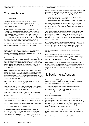<span id="page-10-0"></span>Be mindful about the tone you use as well as cultural differences in your comments.

## 3. Attendance

## $\bigcirc$  3.1 ATTENDANCE

Regular in-class or online attendance, as well as ongoing engagement in learning activities, is an essential part of practice- based learning, and central to engaging in respectful collaborative practice.

Attendance and ongoing engagement with online activities is compulsory and will be monitored on an ongoing basis. We understand that attendance is not always possible for reasons outside of your control. Because of that, you must attend a minimum of 80% of all timetabled sessions for each subject, including lectures, inductions, workshops, seminars and tutorials, or engagement with 80% of online learning activities (course dependant) before being deemed At Risk (see section 6.2).

If your course of study includes online study, regular engagement and participation through Moodle is required and will be monitored too.

Where your attendance falls below 80% without reasonable communication from you or identification of an existing arrangement, we may arrange a meeting to discuss what may be preventing you from attending class.

Sustained unauthorised absence from any course, including persistent lateness or failure to engage in online activities, will be considered grounds for being identified as At Risk. If absences continue this may be considered grounds for exclusion from your course of study (refer to Section 6). You will be notified by email to your AFTRS email about any issues with your attendance or engagement.

All timetabled teaching sessions begin promptly at the scheduled time. If you arrive more than 15 minutes late for class, you may be recorded as absent and/or not be permitted to participate in the class. Ongoing absence from class without notice may affect the ability of other students to achieve their learning outcomes and will be considered misconduct.

We are committed to supporting all students and you can ask for support and assistance when required.

If you are attending medical / health appointments, you must advise your subject leader / tutor / Student Centre for the missed session at least the day prior to their appointment.

If you have a medical certificate or other form of documentation that certifies the reasons for your absence, please send it to the Student Centre.

If you miss three consecutive sessions / days, you may have to provide evidence as to your absence, such as a medical certificate.

You can contact the Student Centre on ⊼ [studentinfo@aftrs.edu.au](mailto:studentinfo%40aftrs.edu.au?subject=Student%20Inquiry).

## $\bigcirc$  3.2 LEAVE FOR INDUSTRY EXPERIENCE

In some circumstances, you may be approved to be absent from studies for longer than 20% of total course time if you are pursuing significant professional opportunities. Applications must be received at least one week prior to the planned absence, by submission of a Leave for Industry Experience Request form to your Couse Leader. This form is available from the Student Centre or on ↗ AFTRS website.

You may only apply for one approved leave period per semester and your application must show how the proposed opportunity meets the following two professional practice eligibility criteria:

- ɀ The proposed activity is a unique opportunity that can only be undertaken during semester dates.
- ɀ The proposed activity is with established industry professionals.

Leave will not be approved for students intending to undertake work on other student productions (regardless of course level) or to work on independent creative projects that could be scheduled at another time.

To have leave approved, you must provide details of how you plan to meet assessment requirements while away from the School (by the due date via the submission method specified in your Course Outline). Extensions to assessment dates will be authorised for students only in exceptional circumstances and will be assessed on a case-by-case basis.

In most circumstances, the maximum approved leave period will be no more than four weeks in any one semester and the Convenor will consider your academic performance to date when making their determination. The decision of the Convenor will be final.

Leave for Industry Experience is not available to international students.

If you undertake leave for approved industry experience any additional absences during that semester (excluding documented medical leave and absence due to compelling or compassionate circumstances) may be subject to additional scrutiny.

If you are unable to attend classes for a period longer than one third of the learning and teaching activities in subject or course in a semester, you may be advised to withdraw from the program or take a leave of absence—depending on the course and your academic performance to date.

## 4. Equipment Access

You can access AFTRS equipment and resources based on your level of permission achieved through training on the course. You can book via the Equipment Booking System to:

- ɀ Complete assessments or other tasks given by a lecturer (Course Work)
- ɀ Develop your technical skills and gain confidence in using equipment (Course Related Practice)

Course Related Practice encompasses all student-initiated work done outside the classroom.

When you borrow AFTRS equipment via the Equipment Booking System you will be asked to identify the reason for borrowing and the subject or course your proposed usage relates to. If you identify the reason for borrowing equipment as Course Related Practice, this request will be sent to the relevant Convenor, Subject Leader, Head of Discipline or Lecturer for approval.

AFTRS equipment is provided for education purposes only. AFTRS will own copyright of any work produced (refer to Section 5 for more information).

The maximum loan period for Course Related Practice is two days.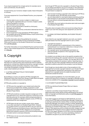<span id="page-11-0"></span>If you require equipment for a longer period, for example, due to work commitments, this will need to

be approved by your Convenor, Subject Leader, Head of Discipline or Lecturer.

To access equipment for Course Related Practice, your proposed use must:

- ɀ Directly relate to your course or subject or relate to your Learning Plan negotiated with your Convenor, Subject Leader, Head of Discipline or Lecturer.
- ɀ Be conducted in your own time.
- ɀ Have no commercial benefit or benefit to a third party.
- ɀ Be largely self-sufficient.
- ɀ Demonstrate that the activity conducted is deemed low risk in a Risk Assessment.
- ɀ Ensure equipment is only operated by AFTRS students.
- ɀ Be compliant with all AFTRS WHS Policies, Fraud Control Policy and Access & Equity Policy.

For further information about the guidelines for access to equipment refer to the Student Access to Equipment Facilities Policy and Procedure on the Student Policies and Forms page on the **z** AFTRS [website](https://www.aftrs.edu.au/).

For further information on Course Related Practice and how to book refer to 'How to Book Equipment for Course Related Practice' found on **⊼** [Moodle](https://moodle.aftrs.edu.au/login/index.php#section-1).

## 5. Copyright

Copyright is a legal right that allows the person or organisation that owns it to control certain uses of particular kinds of material, generally for a limited time. Material protected by copyright includes the following: articles and books, song lyrics, music, audiorecordings, photographs, drawings, artworks on movie posters, and audio-visual material such as films.

 $\bigcirc$  5.1 AFTRS COPYRIGHT POLICY FOR STUDENT PROJECT WORK

By enrolling in a course, you agree to AFTRS' Copyright and Distribution Policy that covers your Student Project Work and agree to follow any related procedures and guidelines.

AFTRS policy position on copyright is:

- ɀ AFTRS owns the copyright in your student work where the School has provided funds, facilities, equipment or staff supervision to enable you to create films and sound recordings (Student Project Work).
- ɀ AFTRS will sometimes consider requests to assign part of the copyright back to you, where this supports or enhances course learning outcomes, for example, where entrepreneurship is a Graduate Capability in a Master's degree course. AFTRS may impose terms for such assignment.
- ɀ AFTRS does not own your scripts, scores, lyrics, essays or any other work that is not Student Project Work. However, as a student of AFTS, you permit AFTRS to use your work for AFTRS' educational, promotional, library, reporting and archival purposes and to meet AFTRS' obligations as an Australian government statutory authority, such as by providing examples of student works to overseas embassies.
- ɀ AFTRS does not own any work produced by students in any non-Award courses.

Even though AFTRS owns the copyright in a Student Project Work, you are always permitted to use up to 3 minutes or 10% (whichever is the lesser) to promote yourself on your websites and showreels. This permission is subject to:

- ɀ each excerpt including a copyright notice referring to AFTRS as the copyright owner; (AFTRS logo not permitted)
- ɀ you are responsible for clearing all material and doing anything else necessary to use excerpts of the Student Project Work in this way without contravening applicable laws or third-party rights; and
- ɀ you respect the moral rights of all authors who hold moral rights in the Student Project Work.

This policy does not apply to films and sound recordings that you make in your own time using your own equipment: you own this work.

 $\bigcirc$  5.2 USING COPYRIGHT MATERIAL IN STUDENT PROJECT **WORK** 

If you intend to use copyright material in your work, you need to seek permission from the copyright owner to use it, unless:

- ɀ copyright has expired; or
- you are using less than a substantial part of the material. A substantial part is an important, distinctive or vital part of the material, not necessarily a large part.
- ɀ the copyright owner has already given permission; or
- ɀ there are specific exceptions in the Copyright Act 1968 that allow its use.

As a student, you are likely to rely on the specific exceptions that permit free fair dealings with copyright material for the purposes of research or study, or criticism or review. You may also rely on the 'free dealing' exceptions for parody or satire or reporting news. In each case, the use of the copyright material must be fair, and the specified conditions attached to the exception must be followed.

Even though you may be able to rely on free exceptions in the Copyright Act to include copyright material in your Student Project Work submitted for assessment, permissions may need to be obtained from copyright owners to enable the projects to be distributed outside the School.

These are general guidelines. For more information, you can explore the resources for students on copyright on Moodle and the resources available at the ⊼ [Australian](https://www.copyright.org.au/) Copyright Council's website.

## $\bigcirc$  5.3 STUDENT FILM DISTRIBUTION

AFTRS may distribute Student Project Work as it deems appropriate.

A selection committee reviews Student Project Work and determines which works will be actively distributed by the School (refer to Copyright and Distribution policy on↗ AFTRS [website](https://www.aftrs.edu.au/students/current-students/student-policies-and-forms/) for more information).

If you wish to apply for permission to Self-Distribute, you must contact the AFTRS Sales and Distribution Manager 4 weeks prior to starting to distribute the material. When contacting the Sales & Distribution Manager, the request must be in writing, detailing the work and the distribution plans. If AFTRS gives you a licence to Self-Distribute your Student Project Work, you are responsible for all Chain of Title clearances and for all fees and other charges incurred to distribute the Production and you will be required to indemnify AFTRS in this regard. Whether it is AFTRS or you that distributes your Student Project Work, any prizes awarded by a festival or competition are given to you and not held by AFTRS.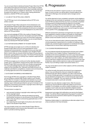<span id="page-12-0"></span>You are not permitted to distribute Student Project Work that AFTRS owns without the approval of the School. This includes circulation on social media, even if access to the content is partially restricted, as this could make work ineligible for distribution. You should also be aware of the rights of co-creators when making distribution decisions, whether AFTRS owns copyright.

## $\circ$  5.4 USE OF THE AFTRS LOGO, CREDITS

The AFTRS logo must not be displayed without AFTRS' prior written consent.

Only Student Project Work selected for Active Distribution and self-distributed Student Project Work selected for Festivals will display the logo, which will be activated by the School on completion of work. The AFTRS logo must not be displayed on any other works without AFTRS permission.

You must acknowledge AFTRS in the credits of Student Project Work on a separate line in the form: the student and staff of AFTRS. While we acknowledge that your work may have been supported and influenced by AFTRS staff members, you are not permitted to thank any individual AFTRS staff members.

## $\bigcirc$  5.5 FURTHER DEVELOPMENT OF STUDENT WORK

AFTRS strongly encourages you to continue to develop your Student Project Work once you have graduated for future development and production. If you wish to do so, you may need a licence or assignment of the copyright in your Student Project Work in which case you should contact the Head of Producing and Production, giving details of your plans. The Head of Producing and Production will advise you in writing if your request is approved and the terms of any approval.

AFTRS encourages you to continue to further develop student scripts, lyrics, compositions, essays and any other work that is not Student Project Work once you finish your studies and graduate. You must acknowledge that the work was developed with the support of the Australian Film, Television and Radio School in all materials submitted to competitions, investors and commissioning or funding agencies and on the completed project.

## $\bigcirc$  5.6 STUDENT SHOWREELS AND WEBSITES

Even though AFTRS owns copyright in a Student Project Work, you are entitled to request High Quality copies of your Student Project Work for inclusion in showreels and websites to promote and advertise yourself if you limit the use to private or domestic viewing; copy or otherwise permitted to use up to 3 minutes or 10% (whichever is the lesser) and include a copyright notice referring to AFTRS as the Copyright Owner.

This permission is subject to:

- ɀ each excerpt including a copyright notice referring to AFTRS as the copyright owner
- ɀ you being responsible for clearing all material and doing anything else necessary to use excerpts of the Student Project Work in this way without contravening applicable laws or third party rights; and
- ɀ you respecting the moral rights of all authors who hold moral rights in the Student Project Work.

You may privately screen your entire Student Project Work to potential employers and to anyone else interested in your creative work in a private screening capacity.

## 6. Progression

AFTRS enrols all students in award courses on a per semester basis. In some courses, you will be able to choose subjects from select list of offerings; once semester starts changes cannot be made.

You will be deemed to have completed a semester and be eligible to progress to the next semester (or graduate, if in your final semester) once AFTRS has determined that you have successfully completed all requirements including passing all subjects in an enrolled semester, according to the course progression rules. This process occurs after the semester has concluded. You will be notified of successful completion of a unit or your course through the release of your grades in the ⊼ Paradigm Portal.

Different assessment submission arrangements may apply if you have registered a medical condition and qualify for reasonable adjustments, or if you have been granted special consideration – please contact the Student Centre for more information.

If you are an international student, please be aware that meeting course progression requirements is a condition of holding a valid student visa, and that student progression is monitored and subject to Department of Home Affairs reporting requirements.

## $\bigcirc$  6.1 COURSE PROGRESSION RULES

You must attempt (submit) all assessments and pass each subject as described in your Subject Outlines. Progressing from one semester to the next (or graduation if you are in your final semester) is dependent on passing all subjects you are enrolled into in each semester. If you fail a subject, you will be determined to be At Risk and you will have to repeat it the next time it is offered (or in the case of electives, select another elective to make up the required Credit Points). If you are failing a subject see section below. 6.1.3.

You may not be able to enrol in other subjects until the outstanding subject is passed.

You will be formally informed by the school of your progression status. If you are offered the chance to retake the subject an individual study plan will be created for you with a new end date for course of study generated. In exceptional circumstances, you may be allowed to progress with a revised study plan approved by the Director or delegate. This may require you to take reduced or increased study load in a particular semester.

A student may only attempt a subject twice. After the second attempt you may be offered an alternate subject to enrol into if available. If not available, you will be unable complete your course of study; in such cases you may be awarded a degree at lower qualification if you have met the requisite subjects / credit points.

Assessment and subject fail notifications are sent by the Subject Leader. You will be offered ongoing learning support to assist your studies and may be required to attend specific and appropriate learning skills training.

Retaking a failed subject or undertaking an alternate subject incurs a fee as outlined in the Fees Schedule.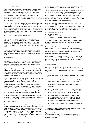## <span id="page-13-0"></span> $\bigcirc$  6.1.2 NON-SUBMISSION

If you do not submit the assessment by the end of the standard submission period, you will receive a mark of zero for that assessment. You may be given the opportunity to submit the original assessment task order to receive a conceded pass for that assessment. You must successfully complete all other assessments for that subject to pass the subject. You will only be granted a conceded pass once for each subject, at the discretion of the Convenor.

Not submitting assessment tasks is considered to be evidence of non-engagement. Should you not submit an assessment before the end of the standard submission period (up to 5 days from the original due date), you will be included on the At-Risk Register. If you do not submit your work after a secondary deadline is granted, you will be asked to show cause as to why you should not be excluded from your course of study.

## $\bigcirc$  6.1.3 FAILING A SUBJECT: 2ND ATTEMPT

If you are failing a subject, you will be given the opportunity to resubmit a revised or submit an alternate assessment task to pass and be granted a capped subject grade. This work must be submitted through Moodle where a personalised and revised deadline will be displayed and communicated to you by email to your AFTRS account.

This will be stipulated to you in your letter outlining the need for resubmission. If you do not attempt the resubmission by the due date, you will fail the subject and may be excluded from your course of study.

## $O$  6.2 AT RISK

Being identified as At Risk is a process by which the School has identified that you may need additional support so that you are better able to engage with your course and/or achieve passing grades in your assessments.

If you are not engaging in your subject or course, not submitting your assessments, or if you are failing assessments, you will be identified as being at risk of failure. If you have been identified as at risk of failure, you will be contacted, notified of the situation, and advised to seek assistance.

If identified as at risk, you will be requested to attend a meeting with a Student Engagement Manager to develop strategies to address the relevant issues and improve your academic performance. Progress against these strategies will need to be achieved within a defined timeframe. At Risk is the first formal stage in managing academic underperformance. The School maintains a register of students At Risk to track the support required and provided.

Your status on the At-Risk register will be monitored by the Student Engagement Managers until you are deemed no longer At Risk.

If you continue to demonstrate poor performance, you may have to attend a meeting with the Director, Teaching & Learning or their delegate to map out strategies to improve performance.

## $\bigcirc$  6.3 SHOW CAUSE

Show cause is a process where the School asks you to provide explanation as to poor performance or lack of engagement. It is the second stage in a process determining exclusion from a course of study. The first stage being identified as at risk, should your poor performance continue. The Head of Curriculum or delegate will write to you on behalf of the Director, Teaching & Learning to require you to provide a justification as to why you should not be excluded from your course of study. Typically, you will be requested to provide

a comprehensive explanation as to why your poor performance has occurred and how you intend to address the issues raised.

Assistance is available from the Student Centre in formulating your response and there is a template available to assist you. You will need to respond to a request to show cause within the timeframe stated. Failure to respond in a timely manner or at all may lead to exclusion. You will receive the School's decision relating to your submission within 14 days from the Director, Teaching and Learning or Head of Curriculum (as primary delegate).

If you can provide a satisfactory explanation, you may have to undertake remedial or alternative work to demonstrate achievement against the learning outcomes of your course and / or subject. You will also be given conditions regarding your continued enrolment in the course that may include expectations regarding your:

- ɀ communication standards,
- ɀ attendance in class,
- ɀ collaboration expectations, and
- ɀ participation in specific learning support activities.

You will remain on the At-Risk register for at least one semester following the show cause or until you are no longer identified as at risk.

Failure to adhere to the conditions of a show cause acceptance letter may risk exclusion. If, following acceptance of an earlier show cause, your performance or engagement becomes at risk you will be notified of this. Failure to correct the issue or improve performance will go straight to exclusion.

If you are unable to show cause as to your poor performance or do not satisfactorily complete the remedial or alternative work in the prescribed time, you may be excluded from your course by the Director, Teaching & Learning or their delegate.

## $\bigcirc$  6.4 EXCLUSION

Exclusion is where your enrolment in your course of study is discontinued, and you are not able to enrol in any other course of study at AFTRS for a specific period of time; set out to you in your exclusion letter.

The following provides a list of reasons for exclusion from a course of study:

- ɀ You may be excluded from the course you are enrolled in, by the Director, Teaching & Learning, if you do not meet course requirements in relation to attendance, assessment or progression. The standards for these are set out in this Handbook.
- ɀ You may be excluded by the CEO or their delegate if you are found to have committed misconduct (refer to Section 9 for information regarding what constitutes misconduct).
- ɀ You may be excluded if your behaviour is found to be a consistent disruption to the learning experience of other students by the Director, People & Culture. This would be considered a breach of the Student Code of Conduct.
- ɀ You may be excluded by the Chief Financial Officer if you do not pay your fees.

This list should not be considered exhaustive, and the Student Code of Conduct should be referred to if required.

If you are in the first year of your course, you can apply for re-admission to commence the first year again only after 12 months have passed from date of exclusion. Merit selection processes will apply.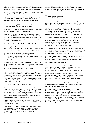<span id="page-14-0"></span>If you are in the second or third year of your course, AFTRS will notify you of specific conditions regarding your enrolment progress as appropriate to the circumstances surrounding the exclusion.

AFTRS will make a determination on the issuance of any awards you may qualify for in the event of exclusion.

If you would like to apply for any future course, you will have to demonstrate that you have taken action during the period of exclusion which will improve the likelihood of your success in a course.

Any decision made by AFTRS regarding exclusion and re-admission will be made in accordance with AFTRS policies.

If you have been excluded more than once from an AFTRS course, you are not eligible to reapply for admission.

If you are an international student, exclusion will mean that your enrolment with AFTRS will be cancelled, your Confirmation of Enrolment will be cancelled with the Department of Home Affairs, and this will affect the validity of your student visa. AFTRS' decision in relation to exclusion is final.

## O 6.5 INVESTIGATION OF APPEALS AGAINST EXCLUSION

Appeals against a decision relating to exclusion from a course of study must be lodged with the Director, Teaching & Learning within five days of being notified of the decision on the grounds that:

- equal opportunity principles were not applied; or there were factors outside the student's control w
- ɀ there were factors outside the student's control which contributed to failure to meet the required academic standards to date and that those factors are unlikely to operate in the future.

Documentary evidence should be supplied with the application where relevant. If the Director believes further investigation is called for, they may convene the Academic Appeals Committee.

## $\bigcirc$  6.6 EARLY EXIT & ALTERNATE QUALIFICATION

If you are unable or if you choose not to continue with your studies, you may be eligible to exit the course with the award for a lesser qualification, such as an Advanced Diploma and Graduate Diploma. Not all award courses have an approved exit award. Your entitlement will be course dependant and require you have achieved specific credits of study. Please contact the Student Centre for more information.

## O 6.7 OFFER OF ALTERNATE QUALIFICATION

If you do not complete required subjects and/or credit points to achieve the degree award for the course in which you enrolled but have met the subject/credit points for a nested award (an award of a lower qualification), you will be offered that award following the completion of the semester. Depending on the circumstance, this offer will be sent to you in a letter from the Director of Teaching & Learning, a delegate or from Student Centre.

All alternative qualification degrees require endorsement from AFTRS Academic Board and conferral from the AFTRS Council. This occurs twice a year.

Once approved, Student Centre will issue a testamur as per the Australian Qualifications Framework Issuance Policy, and an Academic Transcript issued in the legal name as provided by student at enrolment, and these will be mailed out via Registered Post.

The criteria of the AFTRS Exit Clearance process will apply to any Alternative Exit applications. You will not be able to graduate or receive your Academic Transcript or Testamur until all outstanding debts and equipment loans have been repaid and returned.

## 7. Assessment

Assessment aims to help you learn more effectively and to achieve the learning outcomes of a subject by providing opportunities to put into practice what you have learned and to receive feedback.

Assessments provide you with an opportunity to think about and explore important concepts relating to your creative practice. They also assist your lecturers in determining your progress in achieving the intended learning outcomes of the course. Passing assessments enables you to progress through your course of study.

The details of all assessments are contained in your Semester Outlines along with the due date, marking criteria, and a marking rubric. Marking criteria detail what is required from each assessment and marking rubrics clarify what is required to achieve each grade level from Fail through to High Distinction. Where practical, exemplars may be provided.

You are expected and required to submit work that is your own (or your teams'), to acknowledge the ideas and work of others correctly, and not submit work for assessment that has been submitted for another subject or another course of study.

Assessment due dates are published at the start of each semester. Please take time to carefully review this and plan out your work, ensuring that you meet all of the elements set out in each task.

## $O$  7.1 SUBMISSION OF ASSESSMENTS

 All assessments must be submitted through Moodle by the specified due date, unless otherwise indicated in the Subject Outline. Failure to submit as indicated will be treated as a non-submission and will be recorded as a fail for that assessment.

All written assessments must be formatted to include your name, your student number, subject name and assessment task. Submission through the Moodle portal will require you to confirm that the work submitted is your work, or that of you and your team, alone.

Assessments will be marked, and formal feedback provided to you within three weeks of submission. Additional oral feedback from lecturers may be available on request.

Assessment marks and formal feedback are available in Moodle for the duration of the semester of delivery. You are encouraged to keep copies of your feedback for review post-course or in later semesters, as this will help guide you in future assessments and activities. At the end of each semester, your subject marks are stored as part of your permanent student record and can be viewed on the ⊼ Paradigm Portal while you are enrolled. Once you have graduated, you can access your subject marks if needed from the Student Centre by request.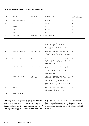## <span id="page-15-0"></span> $\bigcirc$  7.2 GRADING SCHEME

Assessment results are recorded as grades on your student record. The codes are as follows:

| CODE       | CATEGORY                        | GPA VALUE                      | DESCRIPTION                                                                                                                                                                                                                | SHOW IN<br>TRANSCRIPTION |
|------------|---------------------------------|--------------------------------|----------------------------------------------------------------------------------------------------------------------------------------------------------------------------------------------------------------------------|--------------------------|
| HD.        | High Distinction                | 4                              | 85-100%                                                                                                                                                                                                                    | Y                        |
| D          | Distinction                     | 3.5                            | 75-84%                                                                                                                                                                                                                     | Y                        |
| C          | Credit                          | 3                              | 65-74%                                                                                                                                                                                                                     | Y                        |
| P          | Pass                            | 1.5                            | 50-64%                                                                                                                                                                                                                     | Y                        |
| F          | Fail                            | $.5\,$                         | $0 - 49%$                                                                                                                                                                                                                  | Y                        |
| <b>NGP</b> | Non-Graded Pass                 | Pass for a Pass / Fail Subject |                                                                                                                                                                                                                            | Y                        |
| <b>NGF</b> | Non-Graded Fail                 | Fail for a Pass / Fail Subject |                                                                                                                                                                                                                            | Y                        |
| <b>CP</b>  | Conceded Pass                   | 1                              | Pass granted upon re-<br>consideration of borderline<br>fail. Requires approval<br>of Director and supporting<br>evidence.                                                                                                 | У                        |
| W          | Withdrawn before<br>census date | Not included                   | Student withdrew from subject<br>before the final date allowed<br>for withdrawal without academic<br>or financial consequence.                                                                                             | N                        |
| WF         | Withdrawn Fail                  | .5                             | Student withdrew from subject<br>after the final date allowed for<br>withdrawal. Subject will mark<br>will be zero.                                                                                                        | Y                        |
| WZ         | Withdrawn No Penalty            | Not included                   | Withdrawn from a subject before<br>census date or, if after census<br>date, under conditions permitted<br>for withdrawal. Student does<br>not incur academic or financial<br>consequences.                                 | N.                       |
| R          | Result Withheld                 | Not<br>included                | Temporary status used for<br>circumstances where the student<br>has been granted a deferred<br>assessment or the result is not<br>available; must be accompanied<br>with advice on circumstance and<br>time of completion. | N                        |
| AF         | Absent Fail                     | $.5\,$                         | Leads to abandoned course,<br>following faculty initiated<br>withdrawal at course level.                                                                                                                                   | Y                        |
| СG         | Credit Granted                  |                                |                                                                                                                                                                                                                            |                          |

All assessments are marked against the marking criteria and rubric which can be found in your Semester Outline. You are strongly encouraged to review the marking criteria and rubrics for your assessments at the start of semester and before you start working on your assessment. They will guide you in what is required to achieve the best possible marks. You may appeal an assessment result (refer to Section 8 for more information).

In circumstances where you are found to have not sufficiently participated in a group work assessment, you may be awarded a lower mark than the mark awarded to others in the group for the task, at the discretion of your lecturer. This will be made clear to you in your feedback, and you will have the right of appeal as set out in Section 8.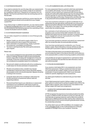## <span id="page-16-0"></span> $\bigcirc$  7.3 EXTENSION REQUESTS

If you need an extension for up to five days after your assessment's due date, you may apply to your Subject Leader for an extension by completing an electronic ⊼ Request for an Extension form via Moodle. This must be submitted at least two working days prior to the due date.

If you are granted an extension and find you cannot meet the new submission date you should communicate this to your Subject Leader/HOD.

If you need a longer or additional extension, you may need to submit a <sub>7</sub> Special [Consideration](https://www.aftrs.edu.au/students/current-students/student-policies-and-forms/) form and to supply evidence relating to the circumstances that have prevented you from submitting on time - contact the Student Centre for details.

## $\bigcirc$  7.3.1 EXTENSION REQUEST GUIDANCE

You can make a request for an extension on one of three grounds, as follows:

- ɀ Medical / health; you will need to supply a letter from a health professional note to support this submission.
- ɀ Other unforeseen circumstances (e.g., family or personal circumstances, unavoidable commitments).
- ɀ You have a Learning Access Plan which grants extensions upon request.

### Please note:

- ɀ Your course is designed to have appropriate and scaffolded levels of challenge intended to help you grow and develop industry ready skills including self-management of time and workloads. Production and broadcast planning or activity is not considered an acceptable reason for an extension.
- ɀ Normal work-related commitments will not be considered as a valid reason for the late submission of assessments.
- ɀ Should a circumstance arise, a student may request consideration if advanced notice is given along with reasons why exception to the rule should be granted. Appeals should be in writing to the Convenor.
- ɀ Computer failure will not be considered a valid reason for the late submission of assessment without valid and supporting evidence.
- ɀ Personal travel that impacts your attendance or assessment submission is not considered a valid reason to grant an assessment extension as you are expected to be available during semester.

## $\bigcirc$  7.4 LATE SUBMISSION AND LATE PENALTIES

For every assessment there is a period in which late submissions are accepted, with penalty. If you do not have approval for an extension, and you submit your assessment after the due date, a penalty of 5 marks will be deducted per day from the total possible mark for that task, for up to five days (totalling 25 marks). This includes Saturdays and Sundays. Assessments submitted after this 5-day period will not be accepted and will receive a zero mark.

If you have received an extension or special consideration for an assessment the new date will be confirmed with you at the point of approval and will be reflected in the individual due date displayed in Moodle for that subject. Normal late penalties will apply if you submit after the revised due date.

Non-submission of work will prevent you from being able to progress in your course of study (refer to Section 6 for more detailed information) and may result in exclusion. It may be treated as non-engagement, and you may be placed on the At-Risk Register or asked to show cause.

If you have been granted an extension and submit your assessment after the revised due date, the same penalties will apply.

If you have been granted special consideration, your Course/ Subject Leader, Head of Discipline or lecturer will discuss with you the best path to proceed in regard to submitting assessments.

The intent of this discussion is to provide the opportunity to accommodate the impact of the relevant life event, and to allow you to be assessed within a context of ensuring academic achievement.

Late penalties do not apply to assessment re-submissions; these must be submitted by the specified due date otherwise a mark of zero will be recorded.

## $O$  7.5 FAILING AN ASSESSMENT

If you receive a mark below 50% in any assessment, you have failed that assessment. Failing an assessment does not mean you automatically fail a subject. Subject scores are often the combination of several assessments. Refer to your Semester Outline for specific weightings for each assessment.

You will be given feedback to understand why you have failed this task.

If your failed assessment results in failing a subject, you may be given options to submit work to achieve a capped mark of 50 for the subject (refer to specific rules in Section 6 for more detail on how failing a subject will impact your progression).

## $\circ$  7.6 WEIGHTED AVERAGE MARK (WAM) & GRADE POINT AVERAGE (GPA)

AFTRS recognises the importance of providing students the ability to report on WAM and GPA calculations as they are nationally, and internationally recognised measures used to determine academic performance. WAM and GTA are often used by other institutions to determine entrance into honours and post-graduate levels courses, for scholarships and prizes.

You will be able to see your GPA and WAM on all completed units in the ⊼ [Paradigm](https://aftrs.edu.net.au/php/index.php) Portal, on the unofficial Statement of Results available on Paradigm and on your Academic Transcript.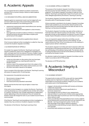## <span id="page-17-0"></span>8. Academic Appeals

You can appeal decisions related to academic assessment, exclusion from a course of study or failure to meet academic requirements.

## $\bigcirc$  8.1 GROUNDS FOR APPEAL AND DOCUMENTATION

Appeals against an assessment result must be lodged with your Convenor within five days of the results being posted online. Appeals will be allowed on the following grounds:

- ɀ assessment requirements were varied without prior warning or in an unreasonable way.
- ɀ assessment requirements were applied in a discriminatory way; or
- ɀ due regard was not paid to evidence of illness or misadventure advised during the semester that helps to explain poor performance in the subject.

Documentary evidence should be supplied where relevant.

If the Convenor believes further investigation is called for, they may convene the Academic Appeals Committee.

## $\bigcirc$  8.2 INVESTIGATION OF APPEALS

On receipt of an appeal, the Director, Teaching & Learning will request a preliminary report from a delegate to investigate your claim, and seek input from the relevant Convenor, Subject Leader, Head of Discipline or lecturer (to be provided within five working days where appropriate), and:

- ɀ review any information on discussions that may have been conducted between you, teaching staff and/or the Student Centre.
- ɀ receive a copy of the assessed work that is the subject of the appeal and the details of the criteria used to assess your work.
- ɀ any other information relevant to the appeal.

Once in receipt of this information, the Director, Teaching & Learning will assess the appeal within 10 working days.

For assessment, the potential outcomes are:

- ɀ Recommend a change of mark,
- ɀ the work is remarked, or
- ɀ final result previously awarded is warranted.

Please note that the final mark may be higher or lower than the original.

If the mark is to be changed or re-marked, the Director, Teaching & Learning will advise you, and a qualified faculty member will conduct re-marking. The Director may consider appointing an independent marker depending on the circumstances. Once re-marked, the Student Centre will change the mark on your student record if that is recommended.

If the Director, Teaching & Learning believes further investigation is needed, they may convene an Academic Appeals Committee.

The decision of the Director, Teaching & Learning is final.

## $\bigcirc$  8.3 ACADEMIC APPEALS COMMITTEE

The purpose of the Academic Appeals Committee is to ensure that due process has been followed, not to re-assess academic judgment. The Academic Appeals Committee is made up of the Director, Teaching & Learning (Chair), Head of Curriculum and one other delegate appointed by the Director, Teaching & Learning.

The Academic Appeals Committee will hear an appeal made under this policy within 10 working days of receipt.

All documentation submitted to the Academic Appeals Committee will be made available to you and all other relevant parties to the appeal at least two working days before the date set down for the hearing or as they become available.

The Academic Appeals Committee may seek written evidence or hold interviews with relevant parties at its discretion. This would generally include you (the appellant), the relevant Convenor, Subject Leader, Head of Discipline or lecturer and the Head of Curriculum.

If you are required to appear before the committee, you are encouraged to bring a support person to the meeting. You will need to advise the Chair of the Committee prior to the meeting if a support person will be in attendance.

The Academic Appeals Committee will make its decision within five working days of the hearing and will inform you of its decision within two working days of the decision being made. The decision will be in writing and will be sent to the last email address provided by you and held by the Student Centre.

Any decision made by the Academic Appeals Committee must be made in accordance with AFTRS policies.

The decision of AFTRS will be final.

## 9. Academic Integrity & **Misconduct**

## $\bigcirc$  9.1 ACADEMIC INTEGRITY

The opportunity to study at AFTRS comes with the responsibility to always work at a high level of academic integrity. You are responsible for ensuring the academic integrity of your academic and creative work in the following ways:

- ɀ engage in all educational activities with honesty and fairness.
- ɀ collaborate respectfully.
- ɀ produce and submit original work specifically for a particular assessment.
- ɀ acknowledge the work of others in your assessments.
- ɀ seek permission to use the work of others where appropriate.
- ɀ take reasonable steps to prevent your work from being used by others without credit.
- ɀ inform yourself about the expectations of your course, subjects and all assessments and the tools which you are required to use (Moodle - learning management system, Turnitin, etc.).
- ɀ take advantage of the support offered to develop a comprehensive understanding of proper referencing, citation and copyright.
- ɀ proactively seek assistance as required.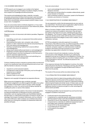## <span id="page-18-0"></span>O 9.2 ACADEMIC MISCONDUCT

AFTRS expects you to engage in your studies to the highest standard, based upon the principles of academic integrity, honesty, and a respect for knowledge and ethical practices.

This requires acknowledging the ideas, materials, concepts, processes and practices of others that have been used, borrowed or developed using proper citation and referencing conventions. When this is not practised, and you present another's ideas or work as your own, it is plagiarism.

If you are unsure about what constitutes plagiarism, or if you need advice on how to correctly cite sources you have referenced, please contact staff in the Library for assistance.

### ↗ [AFTRS](https://www.aftrs.edu.au/about/our-campus/library/) Library

Plagiarism is a form of misconduct with distinct penalties. Plagiarism includes:

- ɀ Submitting, as one's own, an assessment that another person has completed.
- ɀ Downloading information, text, computer code, artwork, graphics or other material from the internet and presenting it as one's own without acknowledgement.
- ɀ Quoting or paraphrasing material from a source without acknowledgement.
- ɀ Using visual material without permission or acknowledgement.
- ɀ Preparing a correctly cited and referenced assessment from individual research and then handing part or all of that work in twice for separate subjects/marks.
- ɀ Outsourcing production work to others and submitting it as one's own without acknowledgement.

Contract cheating involves a request to someone else to produce all or part of an assessment task and submitting that work as your own with the intention to deceive. It includes:

- ɀ requests to current and past students.
- ɀ arrangements made through a third party, such as through an essay service or website.
- ɀ paid or unpaid services.
- ɀ requests made on your behalf.

Plagiarism and copyright infringement are separate offences.

While some acts of plagiarism also constitute copyright infringement, plagiarism is an offence against the rights of an author and a violation of the Student Code of Conduct, while copyright infringement is a crime. You cannot avoid infringing copyright by crediting the author or owner of the material.

Other forms of prohibited academic misconduct include deception, including the falsification of attendance records, examination misconduct, such as copying and the use of prohibited materials, the fabrication or undisclosed manipulation of research results, and sabotage. Some types of academic dishonesty, such as collusion, may not be offences in other contexts, but constitute misconduct when they occur during the completion of assessment tasks and penalties will apply.

If you are unsure about:

- ɀ how to acknowledge the work of others, speak to the Research Librarian,
- ɀ what tasks you are permitted to complete collaboratively, speak to your lecturer or Convenor,
- ɀ what constitutes academic misconduct, speak to the Research Librarian, your lecturer or Convenor.

## O 9.2.1 INVESTIGATION OF ACADEMIC MISCONDUCT

You are required to confirm that all assessments are your work as you submit them. The School uses an application called Turnitin to help with checking the originality of submissions.

When a Convenor, Subject Leader, Head of Discipline or lecturer suspects an instance of academic misconduct, they will report the matter to the Head of Curriculum, identifying the grounds of the allegation. The Convenor, Subject Leader, Head of Discipline or lecturer will discuss the matter with the Head of Curriculum to determine the level of the alleged conduct (not a violation, minor, moderate or serious).

AFTRS has adopted an educative approach to academic misconduct. If the offence is minor, you will be issued with a verbal warning by the Convenor, Subject Leader, Head of Discipline or lecturer, and given support to understand what constitutes academic misconduct and how to prevent it in future. Minor penalties may apply (refer to Section 9.2.2 below).

If the conduct is found to be moderate or serious, the Head of Curriculum or their delegate, will write to you outlining the allegations and ask you to respond to the allegations in writing. You may have to attend a meeting with your Convenor, Subject Leader, Head of Discipline or lecturer. You will also be placed on the At-Risk Register.

If the response indicates that the plagiarism is serious, the matter will be directed to the Director, Teaching & Learning, who will either call for further investigation through the Misconduct Policy or determine the penalty.

The results of this process will be recorded and kept on file.

## $\bigcirc$  9.2.2 PENALTIES FOR ACADEMIC MISCONDUCT

The principal criteria for determining penalties will be the level of intent to deceive and the extent of the academic misconduct. Minor infractions may arise from a failure to understand academic referencing techniques and similar issues. In these cases, you will be given the chance to learn and be supported in that learning. A deliberate intention to deceive and gain an unfair advantage will attract severe penalties.

The following penalties may be imposed if you are found to have engaged in academic misconduct:

- ɀ A reduced mark for the assessment task.
- ɀ A requirement to undertake specific workshops and obtain learning support to learn more about plagiarism prevention.
- ɀ Placement on the At-Risk Register for a specified period of time.
- ɀ A requirement to undertake an additional assessment task in that subject with a potential capped mark at 50%.
- ɀ A mark of 0% for the assessment task.
- ɀ A conceded pass for the subject.
- ɀ A 'fail' grade for the subject.
- ɀ Exclusion.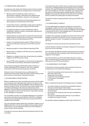## <span id="page-19-0"></span> $\bigcirc$  9.3 BEHAVIOURAL MISCONDUCT

Any behaviour that violates the Student Code of Conduct is taken seriously. The following may be considered acts of misconduct:

- ɀ Behaviour that is threatening, violent, coercive, or discriminatory, bullying, or disorderly and is deemed to be harassment or victimisation—wherever it may take place.
- ɀ Actions that cause disruption to the learning experience of other students or to the activities of the School.
- ɀ Conduct that causes, or potentially causes, harm to people or property which may include a breach of AFTRS Charter.
- ɀ Providing information to or about AFTRS that is false or misleading or failing to maintain confidentiality regarding your dealings with the School.
- ɀ Online behaviour involving staff or students that breaches the Student Code of Conduct, even if it occurs on communication platforms that are not administered by AFTRS.
- ɀ Violence or threatened violence within AFTRS' premises or during an activity which forms part of an AFTRS' course of study.
- ɀ Being found guilty of criminal offences affecting AFTRS.
- ɀ Misuse, theft, or vandalism of AFTRS resources as defined by relevant policies.
- ɀ Plagiarism or related conduct that compromises the academic integrity of an AFTRS course of study.
- ɀ Use of AFTRS name, reputation, or resources for private gain or for the benefit of a third party, without prior authorisation.

If you are found in breach of the Student Code of Conduct, or of other applicable AFTRS' policies or rules, this constitutes misconduct and AFTRS may terminate your enrolment.

Should an issue of misconduct arise, you will be given the opportunity to discuss the matter informally in the first instance with your Convenor or the Director, Teaching & Learning.

## $\bigcirc$  9.3.1 MISCONDUCT INVESTIGATION

Where it is believed you have committed misconduct and the matter is not resolved in your initial discussion with your Convenor or the Director, Teaching & Learning, the allegation may be referred to the Director, People & Culture. The Director may convene a Misconduct Committee, depending on the nature and seriousness of the allegation. The committee will include the Director, People & Culture (Chair), the relevant Lecturer and the Director, Teaching & Learning, or their delegates, as necessary.

The committee's function is to investigate allegations of a student's misconduct and make recommendations to the CEO, or delegate. The person who has started the misconduct process will not be a member of the committee.

If you are required to appear before the committee in relation to your alleged misconduct, you are encouraged to bring a support person to the hearing. You must advise the Chair prior to the meeting if a support person will be attending.

The Head of Curriculum will provide the Secretariat function for the committee.

The Chair will provide a written report including recommendations to the CEO, or delegate within five working days of the committee meeting. The report will identify those responsible for implementing the recommendations. The CEO, or delegate, may request further discussion or information before making a decision. The CEO, or delegate, will convey their decision to the Chair of the Committee and to you within five working days of receipt of the report.

The decision will be in writing and will be sent to your AFTRS' email address.

## $\bigcirc$  9.3.2 MISCONDUCT APPEALS

You may appeal against a decision arising from a misconduct investigation made by the CEO or their delegate, but only on the basis that due process was not carried out. Appeals must be lodged in writing with the CEO or their delegate within 10 working days of you receiving notice of their decision.

The Misconduct Appeals Committee will consist of the CEO or their Delegate, a member of the AFTRS' Council, a Convenor, and the student member of Council. The Appeals Committee will elect its own Chair.

The Head of Curriculum will conduct the secretariat function.

A person directly involved in the situation relating to the misconduct may not sit on the committee.

The committee will determine whether due process was carried out. The committee will make its decision within 20 working days of the lodgement of the appeal.

The Chair will inform you of the committee's decision in writing within 10 working days of the decision being reached. The decision will be sent to your AFTRS email address.

## $\bigcirc$  9.3.2 MISCONDUCT OUTCOMES

If misconduct is proven a penalty may be imposed. These may include (and are not limited to) the following:

- ɀ A ban from accessing school resources for a set period of time (tech store / library etc.).
- ɀ Suspension from program.
- ɀ A mark of 0% for the assessment task.
- ɀ A 'fail' grade for the subject.
- ɀ Exclusion.

When considering the penalty, the following may be considered:

- ɀ Any earlier findings of misconduct and penalties imposed.
- ɀ The year or level of study of the student.
- ɀ Any intention behind the conduct, and the level and effect of that intention.
- ɀ Any external circumstances that may have contributed to the conduct.
- ɀ The impact a potential penalty will have on your ability to complete your program of study.

For penalties relating to plagiarism please refer to Section 9.2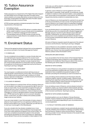## <span id="page-20-0"></span>10. Tuition Assurance Exemption

Tuition assurance is a requirement of the Higher Education Support Act 2003 (HESA Act) for all Higher Education Providers which means students can access alternative courses of study and or be financially compensated if the Higher Education Provider ceases being able to provide a course of study.

AFTRS has been granted a ministerial exemption from these requirements on the basis that:

- ɀ Its funding is secure.
- ɀ It is extremely unlikely that AFTRS will be in a position where it will be unable to deliver a course of study due to its established position as a federally funded government institution.
- ɀ The specialised nature of AFTRS courses of study and the unique production model offered is not available at any other institution in Australia.

## 11. Enrolment Status

These are the agreed enrolment statuses that can be assigned to you and are recorded in the Student Management System

## $O$  11.1 ENROLLED

You are considered to be enrolled in a course of study when you are undertaking the required subjects for the course in each semester. You will be enrolled on a full-time or part-time basis as determined by your course. Variation to study mode (full-time / part-time) including alterations to study plans may be considered in exceptional circumstances and approved only by the Director, Teaching & Learning or delegate.

## $\bigcirc$  11.2 CONDITIONAL ENROLMENT

You may be given a conditional enrolment with the proviso of meeting specific requirements by census date. This would typically be for students who are working through conditions of a Show Cause or Special Consideration, or as determined by the Director, Teaching & Learning or delegate.

## $\bigcirc$  11.3 LEAVE OF ABSENCE

A Leave of Absence is a period of time-off from studying, where you are not enrolled in any subject but are granted the right to return to study at a future date. You are expected to progress through your program with your cohort. However, a leave of absence may be approved in exceptional circumstances, a leave of absence is also contingent on course or discipline streams running in the following year. AFTRS reserves the right to not run a course or discipline stream. In that event, you will be notified at the earliest possible stage to discuss your options.

If you are a new student, in your first semester of study, a leave of absence may be approved if you are applying to withdraw prior to the first census date for your course. If approved, you will return to re-start your course again in the following year.

If you are a student who has already completed one or more semesters of your course, a leave of absence may be approved if you have made satisfactory progress in the course to date. You must have completed and passed all subjects in the semester preceding the semester(s) you wish to be absent for. Applications may be denied if there are any incomplete or failed subjects If this is the case, you will be asked to complete work prior to a leave application being approved.

In general, Leave of Absence must be applied for prior to the census date in a semester. Under specific circumstances, usually in relation to medical or other personal matters, Leave of Absence post-census date can be requested. In this instance, AFTRS would request documentary evidence to substantiate any claim.

Leave of Absence can only be granted for a period of one year due to the structured delivery of most courses. During the period of a Leave of Absence, your student status is suspended completely. That means during the period of absence you are not an AFTRS student.

If you are thinking about or are applying for a leave of absence, you should discuss your circumstances with a Student Engagement Manager and your Convenor by the relevant census date each semester. Following this, you will be provided with a Leave of Absence form to be completed and submitted to Student Centre. It must provide comprehensive details as to why you are seeking a Leave of Absence.

All Leave of Absence requests require the approval of the relevant Convenor and the Director, Teaching & Learning or delegate.

Leave of Absence is only available to domestic students. Rules relating to taking a leave of absence vary by course, please see below for your course. If you have questions about Leave of Absence, please contact the Student Centre.

## GRADUATE DIPLOMA IN RADIO:

If you are enrolled in the full-time stream of the Graduate Diploma in Radio & Podcasting, leave of absence is only available under exceptional circumstances. Resuming your place in the course in the following year will be subject to resource availability.

## MASTER OF ARTS SCREEN:

 A Leave of Absence is only granted in exceptional circumstances as you are expected to progress with your cohort. You will be expected to have completed and passed all subjects in the semester preceding the semester(s) you want to be absent for.

 If you are taking a leave of absence and returning to start the Capstone subjects, specific conditions apply. Capstone Rules including those regarding funding will be enforced as per the new cohort. Existing funding or other production arrangements will cease once leave of absence is approved.

If you are taking a Leave of Absence, and are already involved in a Capstone project, you may be invited to attend specific pitching sessions during the Semester before your return, at the discretion of the Convenor and Director, Teaching & Learning.

## MASTER OF ARTS SCREEN: BUSINESS:

Enrolment patterns can vary for Master of Screen Business students. A leave of absence may be granted for one semester, or one year (2 semesters) depending on your circumstances and course progression.

## $\bigcirc$  11.4 FACULTY INITIATED LEAVE OF ABSENCE

In some circumstances, a student may be automatically placed on a Faculty-Initiated Leave of Absence, following consultation where both the Director, People & Culture and the Director, Teaching & Learning consider it to be in the best interests of the student to take time away from the course.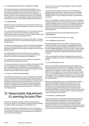## <span id="page-21-0"></span> $\bigcirc$  11.5 RETURNING FROM LEAVE OF ABSENCE STUDENT

If you are resuming your course after a leave of absence, you must advise the Student Centre of the proposed date you intend to resume your studies at least 2 months prior to end of your leave. The Student Centre may also be in contact regarding your intention to return and will correspond with you on your personal email address. It is your responsibility to keep the Student Centre informed if any of your contact details change during this period.

## $O$  11.6 WITHDRAWN

Withdrawn means that a student has cancelled their enrolment in a course of study and will not be eligible to re-enter a course of study after withdrawing.

If you are thinking of withdrawing from your course, take a moment to discuss your concerns with the Director, People & Culture, Director, Teaching & Learning, your Convenor, Subject Leader, Head of Discipline or lecturer, or the Student Centre.

If you wish to withdraw from your course, you will need to complete a Withdrawal from Course form which will be provided to you by the Student Centre.

In circumstances where you are unable to complete the withdrawal process, you may be withdrawn from your course by the School, following consultation with you and with the approval of the Director, People & Culture.

If you withdraw from your course after your census date, you are unable to obtain a refund or re-credit of your full fee for the semester unless there are exceptional circumstances.

If you withdraw from your course, you will have to complete the standard student exit clearance process.

If you have completed one or more accredited units whilst at AFTRS, you are entitled to a formal Statement of Attainment outlining your completed subjects. Alternatively, you may be eligible for an Alternative Exit Qualification. Please contact the Student Centre for further information and to action a request.

## $\bigcirc$  11.7 FACULTY INITIATED WITHDRAWAL

In exceptional circumstances, Faculty may initiate your withdrawal from a course of study. This is generally a last resort and is often actioned in relation to concerns for the welfare of the student being withdrawn or concerns for other students in the course. This can only be done by the Director, Teaching & Learning or delegate, following consultation with the Convenor, Student Engagement Managers, and following reasonable attempts to contact you or your representative.

## 12. Reasonable Adjustment & Learning Access Plan

AFTRS is committed to providing an effective and supportive learning environment for all students, including those with disability or medical condition that impacts on an ability to study.

AFTRS is committed to ensuring that all curriculum, classrooms, work areas, public areas, online environments such as Moodle and Library Search, and other tools and resources are accessible for any individual with disabilities.

*You do not have to disclose your disability or medical condition unless you choose to*.

You can make a disclosure at any time. You can disclose your disability status to the Director, People & Culture or the Student Engagement Manager. Disclosures and requests can be made verbally in person or via the medical information received during enrolment.

If you have a disability or medical condition you are encouraged to identify yourself during the enrolment process and are welcome to contact the Student Centre at any time. There will be a certain level of disclosure needed if you are seeking reasonable adjustments, however this will be discussed with you first and the information will only be used to ensure suitable adjustments are offered and implemented.

You can find more about reasonable adjustment policy on ↗ AFTRS [website](https://www.aftrs.edu.au/students/current-students/student-policies-and-forms/).

You can find the Medical Information form  $\overline{z}$  [here](https://www.aftrs.edu.au/students/current-students/student-policies-and-forms/)

## $\bigcirc$  12.1 LEARNING ACCESS PLAN

Reasonable adjustments are recorded in an agreed Learning Access Plan (LAP). Arriving at what is a reasonable adjustment for you involves discussion and agreement between you and the Student Engagement Manager. You can nominate a support person to assist you in negotiating reasonable adjustments. Approval for Reasonable Adjustments are approved by the Director, People & Culture.

LAPs are managed by the Student Engagement Managers and reviewed annually and are in place for the duration of your study at AFTRS.

## $O$  12.2 CARER SUPPORT PLAN

If you are responsible for providing personal care, support and assistance to another individual due to disability, medical condition, including terminal or chronic illness, mental illness or is frail and aged, you may be eligible for a Carer Support Plan with Student Centre. You can register as a Carer at any time during your studies if you can demonstrate that you are a Carer for another person as defined by the Carers Recognition Act 2010. If you are unsure about your eligibility, you can meet with a Student Engagement Manager for more information.

When you are registered as a Carer, you will work with a Student Engagement Manager to develop a Carer Support Plan. This support plan includes any required educational adjustments. Arriving at what is an appropriate adjustment for you involves discussion and agreement between yourself and the Student Engagement Manager. You can nominate a support person to assist you in negotiating reasonable adjustments. The Carer registration must be renewed every 12 months.

## $O$  12.3 SPECIAL CONSIDERATION

If your performance in an assessment task has been significantly affected by extenuating or special circumstances beyond your control such as illness, misadventure or other circumstances, special consideration is a process that is intended to provide equitable treatment for you. It is granted for a specific period only as outlined in the approved Special Consideration application; all other terms outlined in the approved form must be followed.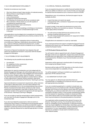## <span id="page-22-0"></span> $\bigcirc$  12.3.1 CIRCUMSTANCES FOR ELIGIBILITY

Potential circumstances may include:

- ɀ Short term illness at least 5 days duration of moderate severity.
- ɀ Serious illness or psychological condition.
- ɀ Hardship or trauma.
- ɀ Loss or bereavement.
- ɀ Exceptional employment demands.
- ɀ The following circumstances will not be considered valid:
- ɀ Minor ailments or illness where you are still capable of completing the assessment task.
- ɀ Balancing workload or work commitments.
- ɀ Public transport delays.
- ɀ Personal events such as weddings or birthdays or travel plans.
- ɀ Events which occurred an unreasonable length of time in the past.

Late applications may be lodged only in exceptional circumstances. Such requests must be supported by documentary evidence for the late submission.

Knowingly making false or misleading claims of extenuating circumstances or altering or falsifying any documentary evidence (e.g., medical certificate, professional authority form, or other supporting documentation) may be considered an act of student misconduct.

If the terms of Special Consideration have elapsed, they will need to be reviewed and revised in conjunction with the Student Engagement Managers.

## $O$  12.3.2 POSSIBLE STUDY ADJUSTMENTS

The following may be possible study adjustments:

- ɀ An extension.
- ɀ Re-weighting of other assessment.
- ɀ Another assessment task.
- ɀ Supplementary work.

Applications for special consideration are to be lodged with the Student Engagement Manager who will facilitate approval from the Director, Teaching & Learning or their delegate and communication to the Convenor, Subject Leader, Head of Discipline or lecturer. You will need to provide alternate dates for assessments or details of other adjustments if required. Where necessary, alternative coursework may be authorised by the Director, Teaching & Learning.

Approved alterations to assessment requirements, either extension of due date or alternative tasks, are to be clearly defined in the Special Consideration form or an accompanying learning contract. Review of assessments tasks will be carried out under normal assessment and progression rules (refer to Section 6 and 7). Any requested variation to the agreed arrangements will need approval of the Director, Teaching & Learning or delegate.

If you are not able to meet the revised date to submit assessments, you must alert the Student Engagement Manager prior to the revised due date.

If you who have failed the assessment or did not submit an assessment due to illness or misadventure and are granted special consideration after submission you will be provided with support identified in a learning contract and the opportunity to complete the original or alternate assessment as deemed appropriate in a timely manner.

## $\bigcirc$  12.4 SPECIAL FINANCIAL ASSISTANCE

If you are experiencing severe or sudden financial hardship that may affect your ability to continue in your course of study, you may apply for special financial assistance up to a maximum amount of \$1,000.

Depending on your circumstances, the financial support may be available as either:

- ɀ A grant that does not need to be repaid
- ɀ A personal loan with a schedule of repayments to be negotiated by AFTRS with you.

If a grant is made, it may need to be declared as income to the Australian Tax Office or to Centrelink as relevant. The following criteria apply without exception:

- ɀ You will not be provided with financial assistance for the purpose of paying rental bonds or rent.
- ɀ You will not be provided with assistance for repayment of debts or loans or FEE-HELP.

All applications are assessed on a case-by-case basis.

If you need special financial support complete the Special Financial Assistance form which you can download from ⊼ AFTRS [website](https://www.aftrs.edu.au/students/current-students/student-policies-and-forms/) or contact the Student Centre.

## ↗ AFTRS [Student](https://www.aftrs.edu.au/students/current-students/student-policies-and-forms/) Policies and Forms

You will need to make an appointment with a Student Engagement Manager to discuss your application. Support documents should be provided when you apply which may include bank statements and rental agreements. All details of your financial situation are strictly confidential.

Applications will be approved or declined within 10 working days from receipt by the Student Centre.

Decisions will be made at AFTRS' discretion on the merits of each case and are dependent on availability of funds.

You will be advised in writing as to whether your application is approved. AFTRS' decision is final.

## $\bigcirc$  12.5 VARIATION TO STUDY LOAD

You may apply for an altered study load where there are compassionate or compelling circumstances that are supported with appropriate documentation.

If you are considering applying for a variation to study load, you should discuss your circumstances with a Student Engagement Manager and Convenor by the relevant census date each semester. Following this, you will be provided with a form to be completed and submitted to Student Centre. It must provide comprehensive details as to the reasons for requesting a variation to study load. While every effort will be made to accommodate reasonable requests, there may be limitations to the potential patterns of enrolment.

Your application will be reviewed by the relevant Convenor, the Director, Teaching & Learning. You should be aware of the time limits for completing course requirements. A reduced enrolment load may impact eligibility for scholarships, internships, government assistance such as Youth Allowance, Austudy, Abstudy and travel concessions. It is your responsibility to seek advice and disclose any variations in study load to Centrelink and any other relevant bodies.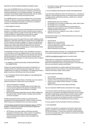## <span id="page-23-0"></span>MASTER OF ARTS SCREEN BUSINESS STUDENTS ONLY:

If you are in the MASB full time or part time course, you will be offered the opportunity to choose your subjects, or amend your existing study pattern, for the following semester. This selection is based on the available subjects each semester and you will be directed to confirm or amend by the Student Centre.

As an MASB student, if you wish to withdraw from a unit during a semester or alter your study load by adding or withdrawing from a unit for the subsequent semester, you will have to complete a variation to study load as outlined above.

## $\bigcirc$  12.6 FITNESS TO STUDY

AFTRS is committed to ensuring a safe learning environment for all students. In a limited number of cases a student may be unable to suitably engage with their studies and the wider AFTRS community in a way that does not significantly compromise the health, wellbeing, learning or teaching of themselves or others.

Where we have reason to suspect that your health, wellbeing and/or behaviour is adversely impacting your performance or engagement, AFTRS maintains the right to engage in a Fitness to Study process with you. This may include requiring you to attend an external and independent medical assessment to determine your fitness to continue with your studies, considering your current state of health (mental and physical) and wellbeing.

Consideration of Fitness to Study is not a disciplinary process; it is not intended to punish any alleged breach of rules, but rather to support you if you are in difficulty. If you are deemed unfit to study, you will be placed on Leave of Absence and you will work with a Student Engagement Manager on a learning access plan to support your return to study.

## $\bigcirc$  12.7 MEDICAL CERTIFICATES AND OTHER SUPPORTING **DOCUMENTATION**

Evidence to support applications for special consideration, recrediting of fees, documenting attendance gaps etc. must be supplied when you apply for consideration. The following provides a guide to assist you submitting correct documentation

## $\bigcirc$  12.7.1 STUDENTS AFFECTED BY MEDICAL CIRCUMSTANCES OR HARDSHIP

If you have been affected by illness or hardship, you must submit a medical certificate or a letter which must include the:

- ɀ nature of the illness or hardship.
- ɀ duration of the illness or hardship (start and end dates that cover the period outlined in the special consideration form).
- ɀ impact on your ability to attend classes or complete assessments.
- ɀ BOTH the Practitioner Registration Number AND the Medicare Provider Number. If either number is missing, then the letter cannot be accepted.

AFTRS requires BOTH these numbers to authenticate the registration of the health practitioner. If either number is missing, then the Special Consideration form cannot be accepted.

↗ The Australian Health [Practitioner](https://www.ahpra.gov.au/) Regulation Agency (AHPRA) Register of Practitioners provides the Practitioner Registration Number to health practitioners.

ɀ AFTRS does not accept medical certificates issued by practitioners following online, video or phone consultations. AFTRS will only accept medical certificates issued by medical practitioners at a face-to-face consultation at a medical practice.

ɀ Exemptions may be made if you are living in an area currently impacted by COVID-19.

## $\bigcirc$  12.7.2 STUDENTS AFFECTED BY OTHER CIRCUMSTANCES

If you have been affected by other circumstances (i.e., not based on medical or mental health grounds), you should provide a third party or independently verified document (e.g., a letter from a relevant authority) such as a:

- ɀ detailed police report for incidents.
- ɀ formal letter from a minister of religion (e.g., priest, rabbi, imam).
- ɀ formal letter from a counsellor.
- ɀ formal letter from a funeral director (accompanied by an obituary or funeral notice) or copy of medical certificate or hospital admission documents.
- ɀ copy of a summons, subpoena, court order, or notice of selection for jury duty.

This should be written on an official letterhead and must include the following details:

- ɀ your full name.
- ɀ details of your circumstances.
- ɀ impact on your ability to study.
- ɀ a physical signature and phone number of an appropriate representative.
- ɀ date the statement was created.

When supporting documentation is in a language other than English it must be accompanied by an English translation by a

↗ [NAATI-accredited](https://www.naati.com.au/) translator (opens an external site).

Where there are unexpected circumstances which cannot be confirmed by a professional or official body and there are no alternative independent means of supporting your circumstances, then you may submit a statutory declaration.

A statutory declaration is a written statement which a person declares to be true in the presence of an authorised witness (e.g., Justice of the Peace, lawyer, notary public).

It should include the following:

- ɀ your full name
- ɀ nature of the unexpected circumstances
- ɀ duration of the circumstances (start and end date)
- ɀ impact on your ability to attend classes or complete assessments
- ɀ details of any group work that might be affected.

You can download a NSW statutory declaration form ⊼ [here](https://www.jp.nsw.gov.au/Pages/justices-of-the-peace/nsw-statutory-declaration.aspx).

You may also need to provide any secondary documents that verify your circumstances and address the impact on your studies. Examples of appropriate supporting documents include a police report or a death certificate. If you need to travel interstate or overseas for a funeral, you will need to provide a travel itinerary or statutory declaration for the additional time you are away.

If unsure, please contact the Student Centre for assistance.

## $O$  12.8 TRANSFER

Transfer of enrolment to a separate course and/or stream from which you applied is not permitted. An exception applies where AFTRS may suspend a course and, as part of course transitional and closure arrangements, offer a transfer of enrolment to another course for affected students.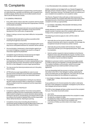## <span id="page-24-0"></span>13. Complaints

The intent of the AFTRS Student Complaint Policy and Procedure is to deal effectively, equitably and efficiently with complaints from enrolled students. Parties who are not enrolled students should refer to the AFTRS Service Charter.

## $\bigcirc$  13.1 GENERAL PRINCIPLES

- ɀ Every effort will be made to deal with complaints with the people involved and in the least formal way that is appropriate, involving as few people as possible.
- ɀ Confidentiality will be preserved as far as is practically possible whilst ensuring thorough investigation of the issue and the development of an action plan, as appropriate.
- ɀ Delays in raising a concern may make it difficult or not possible to resolve.
- ɀ Complaints will be dealt with as quickly as possible whilst ensuring thoroughness of process.
- ɀ Complaints lodged in writing will be acknowledged within seven days and an anticipated timeframe for resolution will be outlined.
- ɀ Any recrimination, harassment or discrimination against you as a result of lodging a complaint may result in a charge of misconduct against the perpetrator.
- ɀ Complaints may be informal or formal and may be lodged internally or with an appropriate external body.
- ɀ Both you (the complainant) and the respondent may be accompanied by a third party or involve a representative in any part of the internal process. Permission must be sought from the CEO or their delegate to involve a legal representative.
- ɀ You may access the internal procedures set out in this policy free of charge.
- ɀ AFTRS will not accept responsibility for costs incurred because of the involvement of any third party requested by the complainant but will consider any reasonable request for assistance.
- ɀ The reasons and a full explanation in writing for any internal decision made and actions taken in response to a complaint will be provided to both the complainant and the respondent if requested.

## $\bigcirc$  13.2 EXCLUSIONS TO THIS POLICY

- ɀ Complaints regarding academic misconduct and academic judgment including outcome of assessments; decisions made about student's progress on a course; decisions about awards; admissions decisions; and disciplinary procedures will be made according to the Academic Appeals Policy and the responsible officer will be the Director, Teaching & Learning.
- ɀ Complaints of misconduct including discrimination or harassment will be handled through the Misconduct Policy and the responsible officer is the Director, People & Culture.

## $\bigcirc$  13.3 PROCEDURES FOR LODGING A COMPLAINT

Initially complaints can be lodged with your Student Engagement Manager, Director, People & Culture, a student representative or the Director, Teaching & Learning. The Student Centre can advise you if your complaint is an academic or non-academic matter.

The Director, People & Culture will make an initial assessment to determine whether the complaint falls within the scope of this policy and determine who in the School is best placed to deal with the complaint and refer you appropriately.

 $O$  13.4 STAGE 1: INFORMAL PROCEDURE FOR RESOLUTION OF A COMPLAINT

Initially attempts to resolve the complaint will be made with the people involved. A decision about the complaint will be made within 14 days of the complaint being received by AFTRS.

The following procedures apply (in order until the matter is resolved).

- ɀ Informally discuss the issue/s to define the problem with the persons concerned, with a view to a resolution. At this stage, the complainant should not forward any written material.
- ɀ Informally discuss the problem with the Director, People & Culture who will refer you to the appropriate person, with a view to a resolution.
- ɀ Submit a written request for internal mediation to the Director, People & Culture who will facilitate the request. A written record of the internal mediation need not be kept however outcomes of the mediation may be recorded as required.

Mediation is a process in which a neutral third party helps people in conflict to discuss and negotiate a mutually agreeable outcome. The mediator facilitates communication, works to encourage understanding and use creative problem solving to reach agreement.

If you are dissatisfied with the process or outcome, you may refer the matter to the CEO or their delegate in writing, explaining the action and stating why you feel aggrieved. This action will conclude the informal procedure for the resolution of a grievance.

## $\bigcirc$  13.5 STAGE 2: FORMAL PROCEDURE FOR RESOLUTION OF A COMPLAINT

If your preference is for formal resolution the matter is referred to the CEO or their delegate to investigate. Investigation by the CEO or their delegate will proceed as follows.

The CEO or their delegate will take a written record of the complaint from you. The written record will contain:

- ɀ your name.
- ɀ the name of the person(s) against whom the complaint is made.
- ɀ the date the complaint is made;
- ɀ the date(s) the matter resulting in the complaint took place; a brief description of the nature of the complaint; and
- ɀ a summary of follow up actions taken since stage 1, where relevant.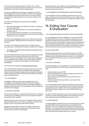<span id="page-25-0"></span>This written record will be the basis for further action. Further processing of the matter based on the written record may involve disciplinary or misconduct actions as appropriate.

As soon as possible after receiving your complaint, the CEO or their delegate will consider the matter. The CEO or their delegate may investigate in any manner they think fit. Any person may be requested to provide information or documents in relation to the complaint.

The CEO or their delegate may decide not to investigate the matter if:

- ɀ they reasonably believe the complaint is frivolous, vexatious or not made in good faith.
- ɀ there is a more appropriate person or authority to lodge the complaint with; or,
- ɀ they reasonably believe investigation is not warranted having regard to all the circumstances of the case, or you have referred the matter to a court or tribunal.

The CEO or their delegate will inform you in writing of the outcome of the investigation, related decisions and reasons for making the decisions.

The CEO or their delegate will deal with the complaint within a reasonable time, normally within 6 weeks of receipt of the complaint.

ɀ 13.6 STAGE 3: EXTERNAL PROCEDURES FOR RESOLUTION OF A COMPLAINT

If you are dissatisfied with the outcome of the complaint procedure you may pursue the matter by referring it to the Chair of the AFTRS Council or their delegate. The complaint will be addressed within a reasonable time, usually 30 days. Externally, the options for resolution of a complaint may include the Commonwealth Ombudsman.

## The Ombudsman's website is  $\overline{z}$  [www.ombudsman.gov.au](https://www.ombudsman.gov.au/)

The complaint will be dealt with according to the procedure of the external organisation selected. If the appropriate organisation makes recommendations in relation to your complaint that relate to, and are received by, AFTRS, the AFTRS' CEO will take reasonable steps to implement them.

## $\bigcirc$  13.7 DOCUMENTS

Investigation reports and documents collated as part of an investigation are confidential and will not be shared. However, you will be provided with documentation outlining the allegations, findings and the outcomes of the investigation into the complaint by the CEO or their delegate.

## $\bigcirc$  13.8 RECORD KEEPING

All documents relating to complaints will be kept strictly confidential and will not be accessible to anyone who is not directly involved in the handling of the complaint.

Material relating to the outcome of the complaint will be placed in a separate file (not kept on the student or staff file) and stored in the Student Centre in accordance with AFTRS' policies.

Separate complaint files will only be accessible to authorised AFTRS' staff. Permission for others to access the files must be obtained from the CEO or their delegate.

Records in relation to a complaint may only be destroyed according to the Archives Act 1983 and any applicable AFTRS' Disposal Authority issued under that Act.

## $\bigcirc$  13.9 COMMUNICATION REGARDING THESE PROCEDURES

You are entitled to use the complaint procedures set out in this policy, regardless of your place of residence or your mode of study. Applicable policies and procedures are available for students on the AFTRS website.

## 14. Exiting Your Course & Graduation

## $\bigcirc$  14.1. GRADUAND PERIOD & ACCESS TO AFTRS RESOURCES

You are regarded as having completed your course once AFTRS has determined that you have successfully completed all course requirements within the prescribed times. The time between the end of your course (the completion of classes and the submission of final assessment) and graduation is called the Graduand Period. In 2021, the Graduand Period for all students in their final year of study will be from the end of the courses to until the end of the day on:

## Exit Date: 28 April 2022

During the Graduand period, you will still have access to AFTRS email and Office 365 as well as the Library, facilities and equipment booking. Access to Moodle and other services, as communicated to you by Student Centre, will cease once you have completed your course.

## $O$  14.2 EXIT CLEARANCE

The school requires you to complete your exit clearance by the end of the Graduand Period. The exit clearance process requires you to have:

- ɀ Paid all monies owing to AFTRS.
- ɀ Returned all resources borrowed including Library items and any IT and Tech Store equipment.
- ɀ Returned your Student ID pass and your locker key to the Student Centre.
- ɀ Saved and sent all file components on your projects that you want to keep.

You must complete the exit clearance process prior to graduation. Your academic transcript and testamur will be withheld if you have any equipment loans or debts to the School outstanding after the relevant exit clearance date for your course. Missing items may incur a fine.

You will not be able to graduate or receive your academic transcript or testamur until all outstanding debts and equipment loans have been repaid and returned. Missing items may incur a fine.

## $\bigcirc$  14.3 GRADUATION

You will be eligible to graduate from your course of study if you have completed all the course requirements and completed the Exit Clearance. You must complete the exit clearance process prior to graduation. Your academic transcript and testamur will be withheld if you have any equipment loans or debts to the School outstanding after the relevant exit clearance date for your course.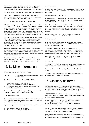<span id="page-26-0"></span>You will be notified and receive an invitation to your graduation ceremony only after confirmation that you have met course requirements and your grades have been confirmed by the School.

You will be notified if you have not completed course requirements.

Fees apply for the generation of replacement testamurs and additional transcripts. Graduates who wish to order testamurs or transcripts should contact the Student Centre.

## $\bigcirc$  14.4 TESTAMURS AND ACADEMIC TRANSCRIPTS

A testamur is a legal document issued to graduates by the authority of AFTRS Council under the AFTRS' Common Seal. The provision of testamurs is subject to the Australian Qualifications Framework Issuance Policy. An academic transcript is an official record of the results received during an award course. Both testamurs and academic transcripts are secure documents that can only be issued under the authority of the Registrar and Chief Executive Officer.

Your testamur and academic transcript will be issued in your legal name as provided by you at enrolment and presented to you at Graduation. If you require confirmation of completion prior to Graduation, you can print a non-academic Statement of Results from Paradigm Student Portal or speak to the Student Centre regarding an interim transcript.

A replacement testamur may only be issued in circumstances where the original document has been lost, damaged or destroyed. You must supply either the original testamur or a statutory declaration stating that the original has been destroyed or lost if you wish to order a replacement.

Fees apply for the generation of replacement testamurs and additional academic transcripts. Graduates who wish to order testamurs or transcripts should contact the Student Centre.

## 15. Building Information

 $\bigcirc$  15.1 HOURS OF OPERATION AND ACCESS

Mon–Fri: The building is accessible via the front entrance from 8am–9pm.

Sat–Sun: Access is between 8.30am–5.30pm.

- ɀ The School is closed on public holidays.
- ɀ The rear dock vehicle entry is opened on request.
- ɀ Clearance from the Head of Facilities must be sought for entry outside these hours.

Please note that opening times may vary throughout the year. You may check the opening hours on the Student HUB.

## $O$  15.2 ON-SITE SECURITY

AFTRS has on-site security in the building during operational hours. The Entertainment Quarter (EQ) also has on-site security 24 hours a day which services the precinct.

If you have any concerns regarding your safety or that of others call:

- ɀ AFTRS security contact (02) 9805 6577
- ɀ EQ security contact (02) 8117 6718 (24 hours)

## $\bigcirc$  15.3 SMOKING

Smoking is not permitted in any AFTRS building or within 10 metres of any entrance. There is a designated smoking area at the rear of the building.

### $\bigcirc$  15.4 EMERGENCY EVACUATION

When the initial evacuation alarm sounds (beep…beep…beep) await further instructions from staff emergency wardens and prepare yourself for possible evacuation.

When the evacuate alarm sounds (Whoop…whoop…whoop) please leave by the nearest available exit. This tone will be accompanied by the words "Evacuate Now". Please proceed directly to the Meeting Point at the other side of the park in front of Brent Street Dance studios.

Information about emergency procedures is found physically around the building and can also be found  $\overline{z}$  here.

## $O$  15.5 FIRST AID

If you are injured or ill during normal hours and require first aid, please seek the assistance of AFTRS First Aid Officers who have current certified qualifications.

The names of AFTRS First Aid Officers can be found on noticeboards, near photocopiers, and next to the first aid kits. If you cannot find help, ask your lecturer to help with finding first aid assistance or call Reception on extension 900 or Security on 577.

If you are injured or ill at AFTRS outside normal hours, please contact Security as all officers are trained in first aid.

## $\bigcirc$  15.6 LIFTS

The lift, which is in the foyer, operates to Levels G, 1 and 2. ID access card is then required to enter office areas and lecture rooms.

The goods lift (near studios 4 and 5) will only operate with an ID access card.

The goods hoist is for goods only and should only be operated by those who have training on its operation.

## 16. Glossary of Terms

ACADEMIC MISCONDUCT: Any action or attempted action, including plagiarism, that may result in creating an unfair advantage for oneself or an unfair academic advantage or disadvantage for any other member or members of the academic community.

ACADEMIC TRANSCRIPT: A document that is a formal record of your studies, which includes all subjects (attempted and completed) and your grade for each subject.

ACTIVE DISTRIBUTION: When AFTRS enters your film or sound recording into festivals and other distribution avenues. Any prizes awarded by a festival or competition are given to the appropriate student.

AT RISK: Students who are identified as at risk include those that are not attending or engaging with their subject or course, not submitting assessments, or failing assessments.

AT RISK REGISTER: Identified students placed on the register will be offered additional support that may help them better engage with their course and/or achieve passing grades for their assessments.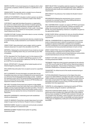AWARD COURSE: A structured sequence of subjects which, when successfully completed, entitle the student to a qualification or an award.

CENSUS DATE: The date after which a student incurs a financial debt for the subject in which they are enrolled.

CONFLICT OF INTEREST: A situation in which a person can derive personal benefit from actions or decisions made in their official capacity.

COPYRIGHT: Legal right that allows the person or organisation who owns it to control certain uses of kinds of material, generally, for a limited time. Material protected by copyright includes the following: articles and books, song lyrics, music, audio- recordings, photographs, drawings, artworks on movie posters, and audiovisual material such as films.

COURSE OUTLINE: Contains information about a course, including subject and assessment details.

COURSEWORK: Written or practical work done by a student during a course of study, usually assessed to count towards a final mark or grade.

CREDIT POINT: Value attached to each subject, which is used to measure study load. It is used in the calculation of an EFTSL.

DEFERRAL: Delaying the commencement of your study by one year if you have a compelling reason why you cannot take up your offer immediately.

EFTSL: Equivalent Full-Time Student Load. It is the measure of the study load, for a year, of a student undertaking a course on a fulltime basis. A full-time study load is defined as 1 EFTSL for one year (or 0.5 EFTSL for one semester).

EQUAL OPPORTUNITY: All people will be treated equally and not disadvantaged by prejudices or bias.

EXCLUSION: Discontinuation from an award course for a specified period.

EXIT CLEARANCE: Process that begins one week after the last timetabled class when you have completed all course requirements up until end of the Graduand Period exit date, by when students are required to return all AFTRS owned facilities and equipment and pay any outstanding monies owed. Access to AFTRS facilities and equipment ceases on the exit date.

FEE-HELP: Australian Government loan program to help eligible fee- paying students to pay their tuition fees, up to a lifetime limit, for eligible courses at approved higher education providers. The loan is repaid through the Australian Government taxation system once a graduate's income reaches the minimum threshold for compulsory repayment.

INDUSTRY EXPERIENCE: Undertaking work with established industry professionals.

LEAVE OF ABSENCE: Period that a student takes leave from study, subject to approval by the Director, People & Culture or delegate.

MARKING RUBRIC: System to create and communicate consistent criteria for grading of an assessment task.

MARKING SCHEME: Predetermined system for grading assessment tasks.

MERIT SELECTION: Competitive selection based on the quality of applications, considering submitted application tasks, fulfilment of specified education levels and compliance with other regulatory requirements.

MISCONDUCT: Any behaviour that violates the Student Code of Conduct.

PROGRESSION: Meeting the requirements of your course on a semester-by-semester basis, including fulfilling attendance requirements and passing subjects.

SELF-DISTRIBUTION: A student can apply to AFTRS for permission to self-distribute their work to festivals, markets and awards, and online. Any successes the work has had must be reported to AFTRS. Any prizes awarded by a festival or competition are given to the appropriate student.

SHOW CAUSE: Written submission for why you should be allowed to continue in your course if you have not met progression requirements.

SPECIAL CONSIDERATION: An adjustment made to your current study or assessment plan to allow for exceptional circumstances. To apply for special consideration, students must complete a Special Consideration form and supply evidence demonstrating the circumstances that have prevented submission of work on time.

SPENT CONVICTION: The Commonwealth Spent Convictions Scheme allows an individual not to disclose certain criminal convictions after a sufficient period of good behaviour and prohibits unauthorised disclosure and use of this information.

SUBJECT OUTLINE: Contains information about a subject, including assessment details.

TESTAMUR: A legal document issued to graduates by the authority of AFTRS Council under the AFTRS Common Seal and provided to students at graduation. The provision of testamurs is subject to the Australian Qualifications Framework Issuance Policy.

TRANSCRIPT: An official record of the results received during an award course.

TUITION ASSURANCE: Requirement of the Higher Education Support Act 2003 (HESA) for all Higher Education Providers which means students can access alternative courses of study and/or be financially compensated if the Higher Education Provider ceases being able to provide a course of study. AFTRS has been granted exemption from this requirement.

TURNITIN: An online plagiarism checking tool used by AFTRS to check similarity ratings for students' submitted work.

WEIGHTED AVERAGE MARK (WAM): An average of your academic performance that considers the credit point value of the subjects that you have completed. At AFTRS marks received in first year are not included in the calculation, marks received in second year are weighted by credit point at 40% of total WAM, and marks received in third year are weighted by credit point at the remaining 60% of total WAM.